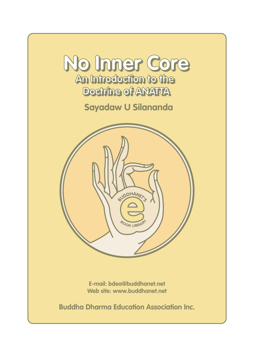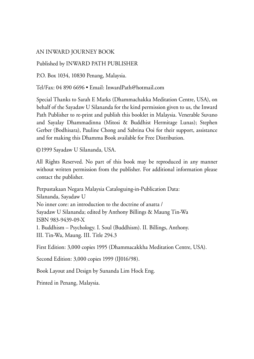### AN INWARD JOURNEY BOOK

### Published by INWARD PATH PUBLISHER

P.O. Box 1034, 10830 Penang, Malaysia.

Tel/Fax: 04 890 6696 • Email: InwardPath@hotmail.com

Special Thanks to Sarah E Marks (Dhammachakka Meditation Centre, USA), on behalf of the Sayadaw U Silananda for the kind permission given to us, the Inward Path Publisher to re-print and publish this booklet in Malaysia. Venerable Suvano and Sayalay Dhammadinna (Mitosi & Buddhist Hermitage Lunas); Stephen Gerber (Bodhisara), Pauline Chong and Sabrina Ooi for their support, assistance and for making this Dhamma Book available for Free Distribution.

© 1999 Sayadaw U Silananda, USA.

All Rights Reserved. No part of this book may be reproduced in any manner without written permission from the publisher. For additional information please contact the publisher.

Perpustakaan Negara Malaysia Cataloguing-in-Publication Data: Silananda, Sayadaw U No inner core: an introduction to the doctrine of anatta / Sayadaw U Silananda; edited by Anthony Billings & Maung Tin-Wa ISBN 983-9439-09-X 1. Buddhism – Psychology. I. Soul (Buddhism). II. Billings, Anthony. III. Tin-Wa, Maung. III. Title 294.3

First Edition: 3,000 copies 1995 (Dhammacakkha Meditation Centre, USA).

Second Edition: 3,000 copies 1999 (IJ016/98).

Book Layout and Design by Sunanda Lim Hock Eng.

Printed in Penang, Malaysia.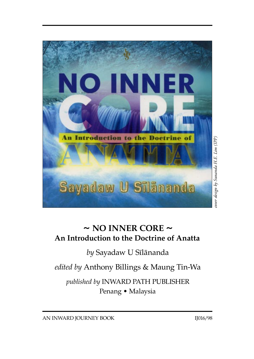

### **~ NO INNER CORE ~ An Introduction to the Doctrine of Anatta**

*by* Sayadaw U Sãlànanda

*edited by* Anthony Billings & Maung Tin-Wa

*published by* INWARD PATH PUBLISHER Penang • Malaysia

AN INWARD JOURNEY BOOK IJ016/98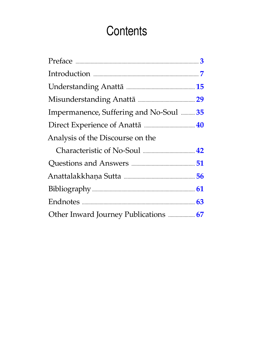# Contents

| Impermanence, Suffering and No-Soul  35 |
|-----------------------------------------|
|                                         |
|                                         |
|                                         |
|                                         |
|                                         |
|                                         |
|                                         |
|                                         |
|                                         |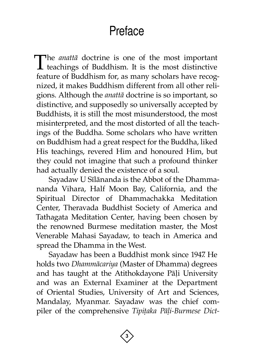# Preface

<span id="page-4-0"></span>The *anattā* doctrine is one of the most important teachings of Buddhism. It is the most distinctive feature of Buddhism for, as many scholars have recognized, it makes Buddhism different from all other religions. Although the *anattà* doctrine is so important, so distinctive, and supposedly so universally accepted by Buddhists, it is still the most misunderstood, the most misinterpreted, and the most distorted of all the teachings of the Buddha. Some scholars who have written on Buddhism had a great respect for the Buddha, liked His teachings, revered Him and honoured Him, but they could not imagine that such a profound thinker had actually denied the existence of a soul.

Sayadaw U Sãlànanda is the Abbot of the Dhammananda Vihara, Half Moon Bay, California, and the Spiritual Director of Dhammachakka Meditation Center, Theravada Buddhist Society of America and Tathagata Meditation Center, having been chosen by the renowned Burmese meditation master, the Most Venerable Mahasi Sayadaw, to teach in America and spread the Dhamma in the West.

Sayadaw has been a Buddhist monk since 1947. He holds two *Dhammàcariya* (Master of Dhamma) degrees and has taught at the Atithokdayone Pāļi University and was an External Examiner at the Department of Oriental Studies, University of Art and Sciences, Mandalay, Myanmar. Sayadaw was the chief compiler of the comprehensive *Tipițaka Pāļi-Burmese Dict-*

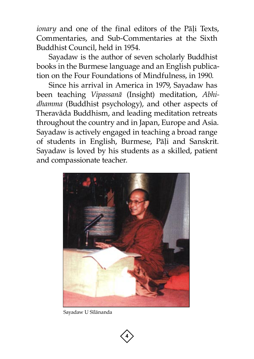*ionary* and one of the final editors of the Pāļi Texts, Commentaries, and Sub-Commentaries at the Sixth Buddhist Council, held in 1954.

Sayadaw is the author of seven scholarly Buddhist books in the Burmese language and an English publication on the Four Foundations of Mindfulness, in 1990.

Since his arrival in America in 1979, Sayadaw has been teaching *Vipassanà* (Insight) meditation, *Abhidhamma* (Buddhist psychology), and other aspects of Theravàda Buddhism, and leading meditation retreats throughout the country and in Japan, Europe and Asia. Sayadaw is actively engaged in teaching a broad range of students in English, Burmese, Pāļi and Sanskrit. Sayadaw is loved by his students as a skilled, patient and compassionate teacher.



Sayadaw U Sīlānanda

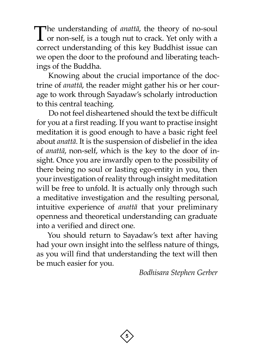The understanding of *anatta*, the theory of no-soul  $\perp$  or non-self, is a tough nut to crack. Yet only with a correct understanding of this key Buddhist issue can we open the door to the profound and liberating teachings of the Buddha.

Knowing about the crucial importance of the doctrine of *anattà*, the reader might gather his or her courage to work through Sayadaw's scholarly introduction to this central teaching.

Do not feel disheartened should the text be difficult for you at a first reading. If you want to practise insight meditation it is good enough to have a basic right feel about *anattà*. It is the suspension of disbelief in the idea of *anattà*, non-self, which is the key to the door of insight. Once you are inwardly open to the possibility of there being no soul or lasting ego-entity in you, then your investigation of reality through insight meditation will be free to unfold. It is actually only through such a meditative investigation and the resulting personal, intuitive experience of *anattà* that your preliminary openness and theoretical understanding can graduate into a verified and direct one.

You should return to Sayadaw's text after having had your own insight into the selfless nature of things, as you will find that understanding the text will then be much easier for you.

*Bodhisara Stephen Gerber*

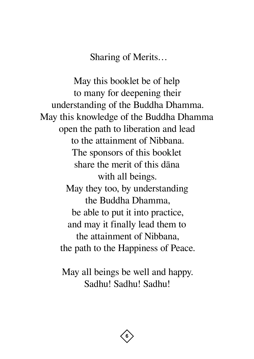Sharing of Merits…

May this booklet be of help to many for deepening their understanding of the Buddha Dhamma. May this knowledge of the Buddha Dhamma open the path to liberation and lead to the attainment of Nibbana. The sponsors of this booklet share the merit of this dàna with all beings. May they too, by understanding the Buddha Dhamma, be able to put it into practice, and may it finally lead them to the attainment of Nibbana, the path to the Happiness of Peace.

> May all beings be well and happy. Sadhu! Sadhu! Sadhu!

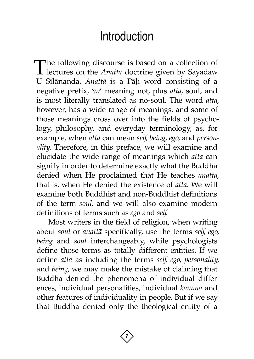### **Introduction**

<span id="page-8-0"></span>The following discourse is based on a collection of lectures on the *Anattā* doctrine given by Sayadaw U Sīlānanda. *Anattā* is a Pāļi word consisting of a negative prefix, '*an*' meaning not, plus *atta*, soul, and is most literally translated as no-soul. The word *atta*, however, has a wide range of meanings, and some of those meanings cross over into the fields of psychology, philosophy, and everyday terminology, as, for example, when *atta* can mean *self*, *being*, *ego*, and *personality*. Therefore, in this preface, we will examine and elucidate the wide range of meanings which *atta* can signify in order to determine exactly what the Buddha denied when He proclaimed that He teaches *anattà*, that is, when He denied the existence of *atta*. We will examine both Buddhist and non-Buddhist definitions of the term *soul*, and we will also examine modern definitions of terms such as *ego* and *self*.

Most writers in the field of religion, when writing about *soul* or *anattà* specifically, use the terms *self*, *ego*, *being* and *soul* interchangeably, while psychologists define those terms as totally different entities. If we define *atta* as including the terms *self*, *ego*, *personality*, and *being*, we may make the mistake of claiming that Buddha denied the phenomena of individual differences, individual personalities, individual *kamma* and other features of individuality in people. But if we say that Buddha denied only the theological entity of a

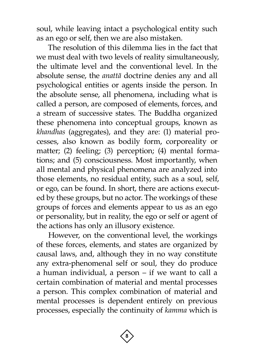soul, while leaving intact a psychological entity such as an ego or self, then we are also mistaken.

The resolution of this dilemma lies in the fact that we must deal with two levels of reality simultaneously, the ultimate level and the conventional level. In the absolute sense, the *anattà* doctrine denies any and all psychological entities or agents inside the person. In the absolute sense, all phenomena, including what is called a person, are composed of elements, forces, and a stream of successive states. The Buddha organized these phenomena into conceptual groups, known as *khandhas* (aggregates), and they are: (1) material processes, also known as bodily form, corporeality or matter; (2) feeling; (3) perception; (4) mental formations; and (5) consciousness. Most importantly, when all mental and physical phenomena are analyzed into those elements, no residual entity, such as a soul, self, or ego, can be found. In short, there are actions executed by these groups, but no actor. The workings of these groups of forces and elements appear to us as an ego or personality, but in reality, the ego or self or agent of the actions has only an illusory existence.

However, on the conventional level, the workings of these forces, elements, and states are organized by causal laws, and, although they in no way constitute any extra-phenomenal self or soul, they do produce a human individual, a person – if we want to call a certain combination of material and mental processes a person. This complex combination of material and mental processes is dependent entirely on previous processes, especially the continuity of *kamma* which is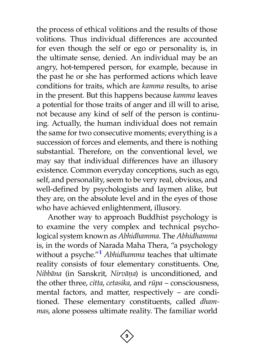the process of ethical volitions and the results of those volitions. Thus individual differences are accounted for even though the self or ego or personality is, in the ultimate sense, denied. An individual may be an angry, hot-tempered person, for example, because in the past he or she has performed actions which leave conditions for traits, which are *kamma* results, to arise in the present. But this happens because *kamma* leaves a potential for those traits of anger and ill will to arise, not because any kind of self of the person is continuing. Actually, the human individual does not remain the same for two consecutive moments; everything is a succession of forces and elements, and there is nothing substantial. Therefore, on the conventional level, we may say that individual differences have an illusory existence. Common everyday conceptions, such as ego, self, and personality, seem to be very real, obvious, and well-defined by psychologists and laymen alike, but they are, on the absolute level and in the eyes of those who have achieved enlightenment, illusory.

<span id="page-10-0"></span>Another way to approach Buddhist psychology is to examine the very complex and technical psychological system known as *Abhidhamma*. The *Abhidhamma* is, in the words of Narada Maha Thera, "a psychology without a psyche.["](#page-64-1) **<sup>1</sup>** *Abhidhamma* teaches that ultimate reality consists of four elementary constituents. One, *Nibbàna* (in Sanskrit, *Nirvàõa*) is unconditioned, and the other three, *citta*, *cetasika*, and *råpa* – consciousness, mental factors, and matter, respectively – are conditioned. These elementary constituents, called *dhammas*, alone possess ultimate reality. The familiar world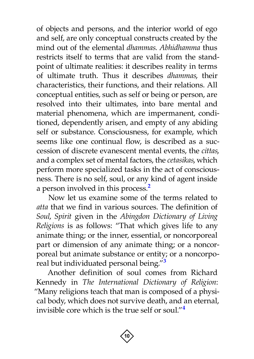of objects and persons, and the interior world of ego and self, are only conceptual constructs created by the mind out of the elemental *dhammas*. *Abhidhamma* thus restricts itself to terms that are valid from the standpoint of ultimate realities: it describes reality in terms of ultimate truth. Thus it describes *dhammas*, their characteristics, their functions, and their relations. All conceptual entities, such as self or being or person, are resolved into their ultimates, into bare mental and material phenomena, which are impermanent, conditioned, dependently arisen, and empty of any abiding self or substance. Consciousness, for example, which seems like one continual flow, is described as a succession of discrete evanescent mental events, the *cittas*, and a complex set of mental factors, the *cetasikas*, which perform more specialized tasks in the act of consciousness. There is no self, soul, or an[y k](#page-64-2)ind of agent inside a person involved in this process.**<sup>2</sup>**

<span id="page-11-0"></span>Now let us examine some of the terms related to *atta* that we find in various sources. The definition of *Soul*, *Spirit* given in the *Abingdon Dictionary of Living Religions* is as follows: "That which gives life to any animate thing; or the inner, essential, or noncorporeal part or dimension of any animate thing; or a noncorporeal but animate substance or entity; or a noncorporeal but individuated personal being.["](#page-64-3) **<sup>3</sup>**

<span id="page-11-2"></span><span id="page-11-1"></span>Another definition of soul comes from Richard Kennedy in *The International Dictionary of Religion*: "Many religions teach that man is composed of a physical body, which does not survive death, and an eternal, invisible core which is the true self or soul.["](#page-64-4)**[4](#page-64-4)**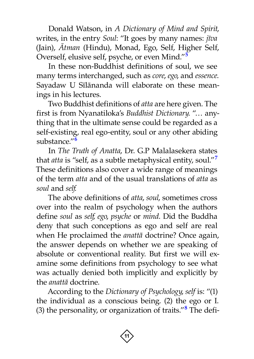Donald Watson, in *A Dictionary of Mind and Spirit*, writes, in the entry *Soul*: "It goes by many names: *jãva* (Jain), *âtman* (Hindu), Monad, Ego, Self, Higher Self, Overself, elusive self, psyche, or even Mind.["](#page-64-5) **<sup>5</sup>**

<span id="page-12-0"></span>In these non-Buddhist definitions of soul, we see many terms interchanged, such as *core*, *ego*, and *essence*. Sayadaw U Sīlānanda will elaborate on these meanings in his lectures.

Two Buddhist definitions of *atta* are here given. The first is from Nyanatiloka's *Buddhist Dictionary*. "… anything that in the ultimate sense could be regarded as a self-existing, real ego-entity, soul or any other abiding substance."**[6](#page-64-6)**

<span id="page-12-2"></span><span id="page-12-1"></span>In *The Truth of Anatta*, Dr. G.P Malalasekera states that *atta* is "self, as a subtle metaphysical entity, soul."**[7](#page-64-7)** These definitions also cover a wide range of meanings of the term *atta* and of the usual translations of *atta* as *soul* and *self*.

The above definitions of *atta*, *soul*, sometimes cross over into the realm of psychology when the authors define *soul* as *self*, *ego*, *psyche* or *mind*. Did the Buddha deny that such conceptions as ego and self are real when He proclaimed the *anattà* doctrine? Once again, the answer depends on whether we are speaking of absolute or conventional reality. But first we will examine some definitions from psychology to see what was actually denied both implicitly and explicitly by the *anattà* doctrine.

<span id="page-12-3"></span>According to the *Dictionary of Psychology*, *self* is: "(1) the individual as a conscious being. (2) the ego or I. (3) the personality, or organization of traits."<sup>[8](#page-64-8)</sup> The defi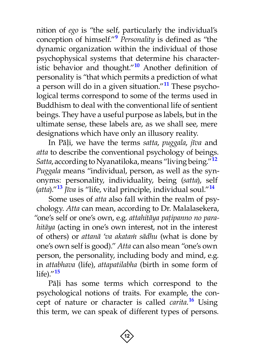<span id="page-13-2"></span><span id="page-13-1"></span><span id="page-13-0"></span>nition of *ego* is "the self, particularly the individual's conception of himself.["](#page-64-9)**[9](#page-64-9)** *Personality* is defined as "the dynamic organization within the individual of those psychophysical systems that determine his characteristic behavior and thought.["](#page-64-10)**[10](#page-64-10)** Another definition of personality is "that which permits a prediction of what a person will do in a given situation." **[11](#page-64-11)** These psychological terms correspond to some of the terms used in Buddhism to deal with the conventional life of sentient beings. They have a useful purpose as labels, but in the ultimate sense, these labels are, as we shall see, mere designations which have only an illusory reality.

<span id="page-13-3"></span>In Pàëi, we have the terms *satta*, *puggala*, *jãva* and *atta* to describe the conventional psychology of beings. *Satta*, according to Nyanatiloka, means "living being." **[12](#page-64-12)** *Puggala* means "individual, person, as well as the synonyms: personality, individuality, being (*satta*), self (*atta*).["](#page-64-13)**[13](#page-64-13)** *Jãva* is "life, vital principle, individual soul."**[14](#page-64-14)**

<span id="page-13-5"></span><span id="page-13-4"></span>Some uses of *atta* also fall within the realm of psychology. *Atta* can mean, according to Dr. Malalasekera, "one's self or one's own, e.g. attahitāya pațipanno no para*hitàya* (acting in one's own interest, not in the interest of others) or *attanà* '*va akataÿ sàdhu* (what is done by one's own self is good)." *Atta* can also mean "one's own person, the personality, including body and mind, e.g. in *attabhava* (life), *attapatilabha* (birth in some form of life).["](#page-64-15)**[15](#page-64-15)**

<span id="page-13-7"></span><span id="page-13-6"></span>Pāļi has some terms which correspond to the psychological notions of traits. For example, the concept of nature or character is called *carita*. **[16](#page-64-16)** Using this term, we can speak of different types of persons.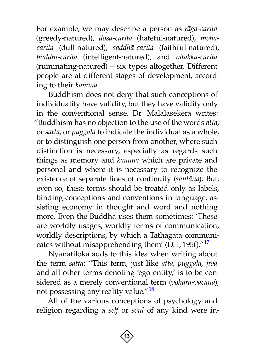For example, we may describe a person as *ràga-carita* (greedy-natured), *dosa-carita* (hateful-natured), *mohacarita* (dull-natured), *saddhà-carita* (faithful-natured), *buddhi-carita* (intelligent-natured), and *vitakka-carita* (ruminating-natured) – six types altogether. Different people are at different stages of development, according to their *kamma*.

Buddhism does not deny that such conceptions of individuality have validity, but they have validity only in the conventional sense. Dr. Malalasekera writes: "Buddhism has no objection to the use of the words *atta*, or *satta*, or *puggala* to indicate the individual as a whole, or to distinguish one person from another, where such distinction is necessary, especially as regards such things as memory and *kamma* which are private and personal and where it is necessary to recognize the existence of separate lines of continuity (*santàna*). But, even so, these terms should be treated only as labels, binding-conceptions and conventions in language, assisting economy in thought and word and nothing more. Even the Buddha uses them sometimes: 'These are worldly usages, worldly terms of communication, worldly descriptions, by which a Tathàgata communicates without misapprehending them' (D. I, 195f)." **[17](#page-64-17)**

<span id="page-14-0"></span>Nyanatiloka adds to this idea when writing about the term *satta*: "This term, just like *atta*, *puggala*, *jãva* and all other terms denoting 'ego-entity,' is to be considered as a merely conventional term (*vohàra-vacana*), not possessing any reality value."**[18](#page-64-18)**

<span id="page-14-1"></span>All of the various conceptions of psychology and religion regarding a *self* or *soul* of any kind were in-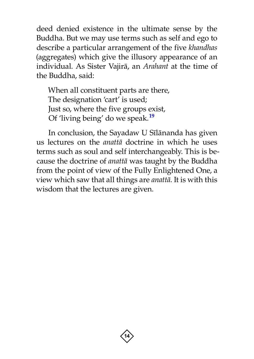deed denied existence in the ultimate sense by the Buddha. But we may use terms such as self and ego to describe a particular arrangement of the five *khandhas* (aggregates) which give the illusory appearance of an individual. As Sister Vajirà, an *Arahant* at the time of the Buddha, said:

<span id="page-15-0"></span>When all constituent parts are there, The designation 'cart' is used; Just so, where the five groups exist, Of 'living being' do we speak.**[19](#page-64-19)**

In conclusion, the Sayadaw U Sīlānanda has given us lectures on the *anattà* doctrine in which he uses terms such as soul and self interchangeably. This is because the doctrine of *anattà* was taught by the Buddha from the point of view of the Fully Enlightened One, a view which saw that all things are *anattà*. It is with this wisdom that the lectures are given.

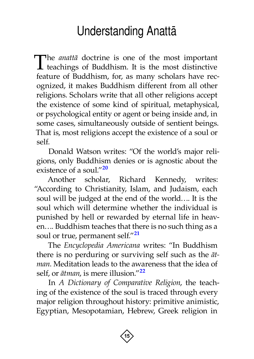# Understanding Anattà

<span id="page-16-0"></span>The *anattā* doctrine is one of the most important teachings of Buddhism. It is the most distinctive feature of Buddhism, for, as many scholars have recognized, it makes Buddhism different from all other religions. Scholars write that all other religions accept the existence of some kind of spiritual, metaphysical, or psychological entity or agent or being inside and, in some cases, simultaneously outside of sentient beings. That is, most religions accept the existence of a soul or self.

<span id="page-16-1"></span>Donald Watson writes: "Of the world's major religions, only Buddhism denies or is agnostic about the existence of a soul."**[20](#page-64-20)**

Another scholar, Richard Kennedy, writes: "According to Christianity, Islam, and Judaism, each soul will be judged at the end of the world…. It is the soul which will determine whether the individual is punished by hell or rewarded by eternal life in heaven…. Buddhism teaches that there is no such thing as a soul or true, permanent self."**[21](#page-65-0)**

<span id="page-16-2"></span>The *Encyclopedia Americana* writes: "In Buddhism there is no perduring or surviving self such as the *àtman*. Meditation leads to the awareness that the idea of self, or *àtman*, is mere illusion." **[22](#page-65-1)**

<span id="page-16-3"></span>In *A Dictionary of Comparative Religion*, the teaching of the existence of the soul is traced through every major religion throughout history: primitive animistic, Egyptian, Mesopotamian, Hebrew, Greek religion in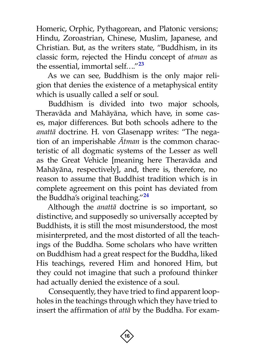Homeric, Orphic, Pythagorean, and Platonic versions; Hindu, Zoroastrian, Chinese, Muslim, Japanese, and Christian. But, as the writers state, "Buddhism, in its classic form, rejected the Hindu concept of *atman* as the essential, immortal self…." **[23](#page-65-2)**

<span id="page-17-0"></span>As we can see, Buddhism is the only major religion that denies the existence of a metaphysical entity which is usually called a self or soul.

Buddhism is divided into two major schools, Theravàda and Mahàyàna, which have, in some cases, major differences. But both schools adhere to the *anattà* doctrine. H. von Glasenapp writes: "The negation of an imperishable *âtman* is the common characteristic of all dogmatic systems of the Lesser as well as the Great Vehicle [meaning here Theravàda and Mahàyàna, respectively], and, there is, therefore, no reason to assume that Buddhist tradition which is in complete agreement on this point has deviated from the Buddha's original teaching." **[24](#page-65-3)**

<span id="page-17-1"></span>Although the *anattà* doctrine is so important, so distinctive, and supposedly so universally accepted by Buddhists, it is still the most misunderstood, the most misinterpreted, and the most distorted of all the teachings of the Buddha. Some scholars who have written on Buddhism had a great respect for the Buddha, liked His teachings, revered Him and honored Him, but they could not imagine that such a profound thinker had actually denied the existence of a soul.

Consequently, they have tried to find apparent loopholes in the teachings through which they have tried to insert the affirmation of *attà* by the Buddha. For exam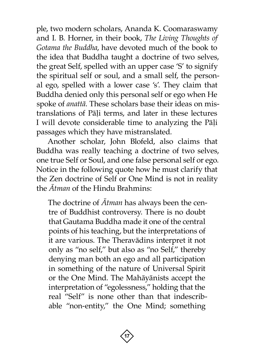ple, two modern scholars, Ananda K. Coomaraswamy and I. B. Horner, in their book, *The Living Thoughts of Gotama the Buddha*, have devoted much of the book to the idea that Buddha taught a doctrine of two selves, the great Self, spelled with an upper case 'S' to signify the spiritual self or soul, and a small self, the personal ego, spelled with a lower case 's'. They claim that Buddha denied only this personal self or ego when He spoke of *anattà*. These scholars base their ideas on mistranslations of Pāļi terms, and later in these lectures I will devote considerable time to analyzing the Pāļi passages which they have mistranslated.

Another scholar, John Blofeld, also claims that Buddha was really teaching a doctrine of two selves, one true Self or Soul, and one false personal self or ego. Notice in the following quote how he must clarify that the Zen doctrine of Self or One Mind is not in reality the *âtman* of the Hindu Brahmins:

The doctrine of *âtman* has always been the centre of Buddhist controversy. There is no doubt that Gautama Buddha made it one of the central points of his teaching, but the interpretations of it are various. The Theravàdins interpret it not only as "no self," but also as "no Self," thereby denying man both an ego and all participation in something of the nature of Universal Spirit or the One Mind. The Mahàyànists accept the interpretation of "egolessness," holding that the real "Self" is none other than that indescribable "non-entity," the One Mind; something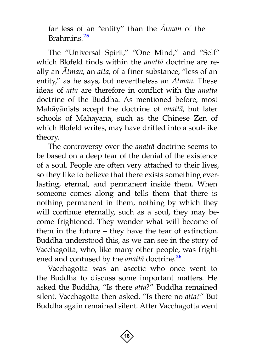<span id="page-19-0"></span>far less of an "entity" than the *âtman* of the Brahmins. **[25](#page-65-4)**

The "Universal Spirit," "One Mind," and "Self" which Blofeld finds within the *anattà* doctrine are really an *âtman*, an *atta*, of a finer substance, "less of an entity," as he says, but nevertheless an *âtman*. These ideas of *atta* are therefore in conflict with the *anattà* doctrine of the Buddha. As mentioned before, most Mahàyànists accept the doctrine of *anattà*, but later schools of Mahàyàna, such as the Chinese Zen of which Blofeld writes, may have drifted into a soul-like theory.

The controversy over the *anattà* doctrine seems to be based on a deep fear of the denial of the existence of a soul. People are often very attached to their lives, so they like to believe that there exists something everlasting, eternal, and permanent inside them. When someone comes along and tells them that there is nothing permanent in them, nothing by which they will continue eternally, such as a soul, they may become frightened. They wonder what will become of them in the future – they have the fear of extinction. Buddha understood this, as we can see in the story of Vacchagotta, who, like many other people, was frightened and confused by the *anattà* doctrine.**[26](#page-65-5)**

<span id="page-19-1"></span>Vacchagotta was an ascetic who once went to the Buddha to discuss some important matters. He asked the Buddha, "Is there *atta*?" Buddha remained silent. Vacchagotta then asked, "Is there no *atta*?" But Buddha again remained silent. After Vacchagotta went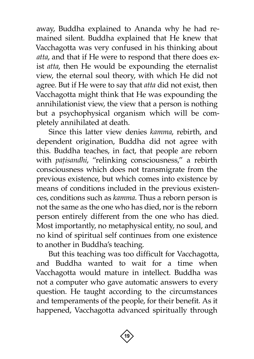away, Buddha explained to Ananda why he had remained silent. Buddha explained that He knew that Vacchagotta was very confused in his thinking about *atta*, and that if He were to respond that there does exist *atta*, then He would be expounding the eternalist view, the eternal soul theory, with which He did not agree. But if He were to say that *atta* did not exist, then Vacchagotta might think that He was expounding the annihilationist view, the view that a person is nothing but a psychophysical organism which will be completely annihilated at death.

Since this latter view denies *kamma*, rebirth, and dependent origination, Buddha did not agree with this. Buddha teaches, in fact, that people are reborn with *pațisandhi*, "relinking consciousness," a rebirth consciousness which does not transmigrate from the previous existence, but which comes into existence by means of conditions included in the previous existences, conditions such as *kamma*. Thus a reborn person is not the same as the one who has died, nor is the reborn person entirely different from the one who has died. Most importantly, no metaphysical entity, no soul, and no kind of spiritual self continues from one existence to another in Buddha's teaching.

But this teaching was too difficult for Vacchagotta, and Buddha wanted to wait for a time when Vacchagotta would mature in intellect. Buddha was not a computer who gave automatic answers to every question. He taught according to the circumstances and temperaments of the people, for their benefit. As it happened, Vacchagotta advanced spiritually through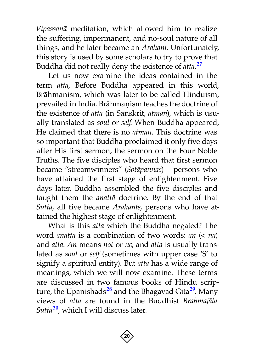*Vipassanà* meditation, which allowed him to realize the suffering, impermanent, and no-soul nature of all things, and he later became an *Arahant*. Unfortunately, this story is used by some scholars to try to prove that Buddha did not really deny the existence of *atta*. **[27](#page-65-6)**

<span id="page-21-0"></span>Let us now examine the ideas contained in the term *atta*, Before Buddha appeared in this world, Brāhmanism, which was later to be called Hinduism, prevailed in India. Brāhmaņism teaches the doctrine of the existence of *atta* (in Sanskrit, *àtman*), which is usually translated as *soul* or *self*. When Buddha appeared, He claimed that there is no *àtman*. This doctrine was so important that Buddha proclaimed it only five days after His first sermon, the sermon on the Four Noble Truths. The five disciples who heard that first sermon became "streamwinners" (*Sotàpannas*) – persons who have attained the first stage of enlightenment. Five days later, Buddha assembled the five disciples and taught them the *anattà* doctrine. By the end of that *Sutta*, all five became *Arahants*, persons who have attained the highest stage of enlightenment.

What is this *atta* which the Buddha negated? The word *anattà* is a combination of two words: *an* (< *na*) and *atta*. *An* means *not* or *no*, and *atta* is usually translated as *soul* or *self* (sometimes with upper case 'S' to signify a spiritual entity). But *atta* has a wide range of meanings, which we will now examine. These terms are discussed in two famous books of Hindu scripture, the Upanishads **[28](#page-65-7)** and the Bhagavad Gita **[29](#page-65-8)**. Many views of *atta* are found in the Buddhist *Brahmajàla Sutt[a](#page-65-9)***[30](#page-65-9)**, which I will discuss later.

<span id="page-21-3"></span><span id="page-21-2"></span><span id="page-21-1"></span>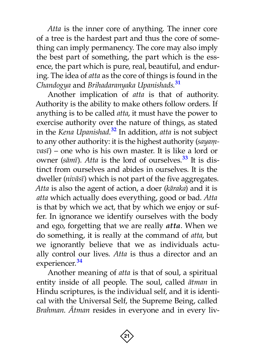*Atta* is the inner core of anything. The inner core of a tree is the hardest part and thus the core of something can imply permanency. The core may also imply the best part of something, the part which is the essence, the part which is pure, real, beautiful, and enduring. The idea of *atta* as the core of things is found in the *Chandogya* and *Brihadaranyaka Upanishads*. **[31](#page-65-10)**

<span id="page-22-2"></span><span id="page-22-1"></span><span id="page-22-0"></span>Another implication of *atta* is that of authority. Authority is the ability to make others follow orders. If anything is to be called *atta*, it must have the power to exercise authority over the nature of things, as stated in the *Kena Upanishad*. **[32](#page-65-11)** In addition, *atta* is not subject to any other authority: it is the highest authority (sayam*vasã*) – one who is his own master. It is like a lord or owner (*sàmã*). *Atta* is the lord of ourselves.**[33](#page-65-12)** It is distinct from ourselves and abides in ourselves. It is the dweller (*nivàsã*) which is not part of the five aggregates. *Atta* is also the agent of action, a doer (*kàraka*) and it is *atta* which actually does everything, good or bad. *Atta* is that by which we act, that by which we enjoy or suffer. In ignorance we identify ourselves with the body and ego, forgetting that we are really *atta*. When we do something, it is really at the command of *atta*, but we ignorantly believe that we as individuals actually control our lives. *Atta* is thus a director and an experiencer. **[34](#page-65-13)**

<span id="page-22-3"></span>Another meaning of *atta* is that of soul, a spiritual entity inside of all people. The soul, called *àtman* in Hindu scriptures, is the individual self, and it is identical with the Universal Self, the Supreme Being, called *Brahman*. *âtman* resides in everyone and in every liv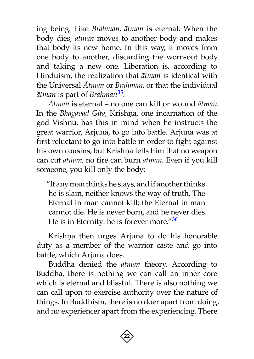ing being. Like *Brahman*, *àtman* is eternal. When the body dies, *àtman* moves to another body and makes that body its new home. In this way, it moves from one body to another, discarding the worn-out body and taking a new one. Liberation is, according to Hinduism, the realization that *àtman* is identical with the Universal *âtman* or *Brahman*, or that the individual *àtman* is part of *Brahman***[35](#page-65-14)**.

<span id="page-23-0"></span>*âtman* is eternal – no one can kill or wound *àtman*. In the *Bhagavad Gita*, Krishņa, one incarnation of the god Vishņu, has this in mind when he instructs the great warrior, Arjuna, to go into battle. Arjuna was at first reluctant to go into battle in order to fight against his own cousins, but Krishna tells him that no weapon can cut *àtman*, no fire can burn *àtman*. Even if you kill someone, you kill only the body:

"If any man thinks he slays, and if another thinks he is slain, neither knows the way of truth, The Eternal in man cannot kill; the Eternal in man cannot die. He is never born, and he never dies. He is in Eternity: he is forever more." **[36](#page-66-0)**

Krishņa then urges Arjuna to do his honorable duty as a member of the warrior caste and go into battle, which Arjuna does.

Buddha denied the *àtman* theory. According to Buddha, there is nothing we can call an inner core which is eternal and blissful. There is also nothing we can call upon to exercise authority over the nature of things. In Buddhism, there is no doer apart from doing, and no experiencer apart from the experiencing. There

<span id="page-23-1"></span>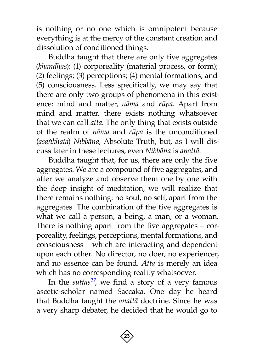is nothing or no one which is omnipotent because everything is at the mercy of the constant creation and dissolution of conditioned things.

Buddha taught that there are only five aggregates (*khandhas*): (1) corporeality (material process, or form); (2) feelings; (3) perceptions; (4) mental formations; and (5) consciousness. Less specifically, we may say that there are only two groups of phenomena in this existence: mind and matter, *nàma* and *råpa*. Apart from mind and matter, there exists nothing whatsoever that we can call *atta*. The only thing that exists outside of the realm of *nàma* and *råpa* is the unconditioned (*asaïkhata*) *Nibbàna*, Absolute Truth, but, as I will discuss later in these lectures, even *Nibbàna* is *anattà*.

Buddha taught that, for us, there are only the five aggregates. We are a compound of five aggregates, and after we analyze and observe them one by one with the deep insight of meditation, we will realize that there remains nothing: no soul, no self, apart from the aggregates. The combination of the five aggregates is what we call a person, a being, a man, or a woman. There is nothing apart from the five aggregates – corporeality, feelings, perceptions, mental formations, and consciousness – which are interacting and dependent upon each other. No director, no doer, no experiencer, and no essence can be found. *Atta* is merely an idea which has no corresponding reality whatsoever.

<span id="page-24-0"></span>In the *suttas***[37](#page-66-1)**, we find a story of a very famous ascetic-scholar named Saccaka. One day he heard that Buddha taught the *anattà* doctrine. Since he was a very sharp debater, he decided that he would go to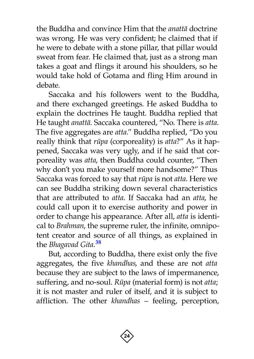the Buddha and convince Him that the *anattà* doctrine was wrong. He was very confident; he claimed that if he were to debate with a stone pillar, that pillar would sweat from fear. He claimed that, just as a strong man takes a goat and flings it around his shoulders, so he would take hold of Gotama and fling Him around in debate.

Saccaka and his followers went to the Buddha, and there exchanged greetings. He asked Buddha to explain the doctrines He taught. Buddha replied that He taught *anattà*. Saccaka countered, "No. There is *atta*. The five aggregates are *atta*." Buddha replied, "Do you really think that *råpa* (corporeality) is *atta*?" As it happened, Saccaka was very ugly, and if he said that corporeality was *atta*, then Buddha could counter, "Then why don't you make yourself more handsome?" Thus Saccaka was forced to say that *råpa* is not *atta*. Here we can see Buddha striking down several characteristics that are attributed to *atta*. If Saccaka had an *atta*, he could call upon it to exercise authority and power in order to change his appearance. After all, *atta* is identical to *Brahman*, the supreme ruler, the infinite, omnipotent creator and source of all things, as explained in the *Bhagavad Gita*. **[38](#page-66-2)**

But, according to Buddha, there exist only the five aggregates, the five *khandhas*, and these are not *atta* because they are subject to the laws of impermanence, suffering, and no-soul. *Råpa* (material form) is not *atta*; it is not master and ruler of itself, and it is subject to affliction. The other *khandhas* – feeling, perception,

<span id="page-25-0"></span>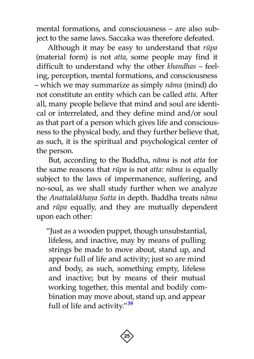mental formations, and consciousness – are also subject to the same laws. Saccaka was therefore defeated.

Although it may be easy to understand that *råpa* (material form) is not *atta*, some people may find it difficult to understand why the other *khandhas* – feeling, perception, mental formations, and consciousness – which we may summarize as simply *nàma* (mind) do not constitute an entity which can be called *atta*. After all, many people believe that mind and soul are identical or interrelated, and they define mind and/or soul as that part of a person which gives life and consciousness to the physical body, and they further believe that, as such, it is the spiritual and psychological center of the person.

But, according to the Buddha, *nàma* is not *atta* for the same reasons that *råpa* is not *atta*: *nàma* is equally subject to the laws of impermanence, suffering, and no-soul, as we shall study further when we analyze the *Anattalakkhaõa Sutta* in depth. Buddha treats *nàma* and *råpa* equally, and they are mutually dependent upon each other:

<span id="page-26-0"></span>"Just as a wooden puppet, though unsubstantial, lifeless, and inactive, may by means of pulling strings be made to move about, stand up, and appear full of life and activity; just so are mind and body, as such, something empty, lifeless and inactive; but by means of their mutual working together, this mental and bodily combination may move about, stand up, and appear full of life and activity."**[39](#page-66-3)**

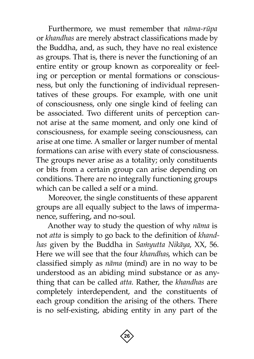Furthermore, we must remember that *nàma-råpa* or *khandhas* are merely abstract classifications made by the Buddha, and, as such, they have no real existence as groups. That is, there is never the functioning of an entire entity or group known as corporeality or feeling or perception or mental formations or consciousness, but only the functioning of individual representatives of these groups. For example, with one unit of consciousness, only one single kind of feeling can be associated. Two different units of perception cannot arise at the same moment, and only one kind of consciousness, for example seeing consciousness, can arise at one time. A smaller or larger number of mental formations can arise with every state of consciousness. The groups never arise as a totality; only constituents or bits from a certain group can arise depending on conditions. There are no integrally functioning groups which can be called a self or a mind.

Moreover, the single constituents of these apparent groups are all equally subject to the laws of impermanence, suffering, and no-soul.

Another way to study the question of why *nàma* is not *atta* is simply to go back to the definition of *khandhas* given by the Buddha in *Samyutta Nikāya*, XX, 56. Here we will see that the four *khandhas*, which can be classified simply as *nàma* (mind) are in no way to be understood as an abiding mind substance or as anything that can be called *atta*. Rather, the *khandhas* are completely interdependent, and the constituents of each group condition the arising of the others. There is no self-existing, abiding entity in any part of the

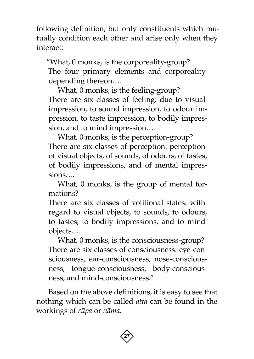following definition, but only constituents which mutually condition each other and arise only when they interact:

"What, 0 monks, is the corporeality-group? The four primary elements and corporeality depending thereon….

What, 0 monks, is the feeling-group? There are six classes of feeling: due to visual impression, to sound impression, to odour impression, to taste impression, to bodily impression, and to mind impression….

What, 0 monks, is the perception-group? There are six classes of perception: perception of visual objects, of sounds, of odours, of tastes, of bodily impressions, and of mental impressions….

What, 0 monks, is the group of mental formations?

There are six classes of volitional states: with regard to visual objects, to sounds, to odours, to tastes, to bodily impressions, and to mind objects….

What, 0 monks, is the consciousness-group? There are six classes of consciousness: eye-consciousness, ear-consciousness, nose-consciousness, tongue-consciousness, body-consciousness, and mind-consciousness."

Based on the above definitions, it is easy to see that nothing which can be called *atta* can be found in the workings of *råpa* or *nàma*.

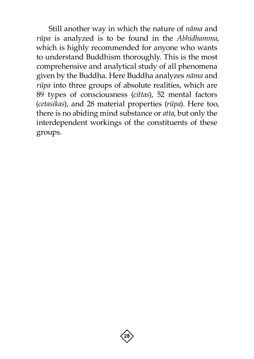Still another way in which the nature of *nàma* and *råpa* is analyzed is to be found in the *Abhidhamma*, which is highly recommended for anyone who wants to understand Buddhism thoroughly. This is the most comprehensive and analytical study of all phenomena given by the Buddha. Here Buddha analyzes *nàma* and *råpa* into three groups of absolute realities, which are 89 types of consciousness (*cittas*), 52 mental factors (*cetasikas*), and 28 material properties (*råpa*). Here too, there is no abiding mind substance or *atta*, but only the interdependent workings of the constituents of these groups.

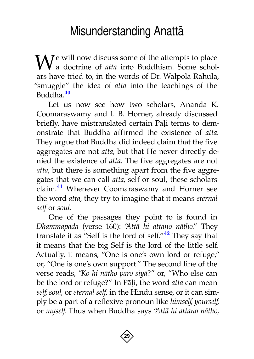# Misunderstanding Anattà

<span id="page-30-0"></span> $\mathbf{W}$ <sup>e</sup> will now discuss some of the attempts to place a doctrine of *atta* into Buddhism. Some scholars have tried to, in the words of Dr. Walpola Rahula, "smuggle" the idea of *atta* into the teachings of the Buddha. **[40](#page-66-4)**

<span id="page-30-1"></span>Let us now see how two scholars, Ananda K. Coomaraswamy and I. B. Horner, already discussed briefly, have mistranslated certain Pāļi terms to demonstrate that Buddha affirmed the existence of *atta*. They argue that Buddha did indeed claim that the five aggregates are not *atta*, but that He never directly denied the existence of *atta*. The five aggregates are not *atta*, but there is something apart from the five aggregates that we can call *atta*, self or soul, these scholars claim. **[41](#page-66-5)** Whenever Coomaraswamy and Horner see the word *atta*, they try to imagine that it means *eternal self* or *soul*.

<span id="page-30-3"></span><span id="page-30-2"></span>One of the passages they point to is found in *Dhammapada* (verse 160): "*Attà hi attano nàtho*." They translate it as "Self is the lord of self." **[42](#page-66-6)** They say that it means that the big Self is the lord of the little self. Actually, it means, "One is one's own lord or refuge," or, "One is one's own support." The second line of the verse reads, "*Ko hi nàtho paro siyà*?" or, "Who else can be the lord or refuge?" In Pāļi, the word *atta* can mean *self*, *soul*, or *eternal self,* in the Hindu sense, or it can simply be a part of a reflexive pronoun like *himself*, *yourself*, or *myself*. Thus when Buddha says "*Attà hi attano nàtho,* 

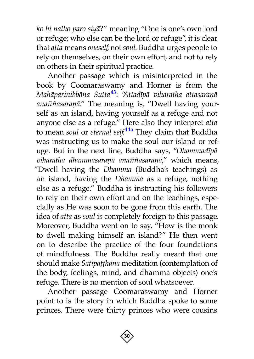*ko hi natho paro siyà*?" meaning "One is one's own lord or refuge; who else can be the lord or refuge", it is clear that *atta* means *oneself*, not *soul*. Buddha urges people to rely on themselves, on their own effort, and not to rely on others in their spiritual practice.

<span id="page-31-1"></span><span id="page-31-0"></span>Another passage which is misinterpreted in the book by Coomaraswamy and Horner is from the *Mahàparinibbàna Sutt[a](#page-66-7)***[43](#page-66-7)**: "*Attadãpà viharatha attasaraõà*  anaññasaraṇā." The meaning is, "Dwell having yourself as an island, having yourself as a refuge and not anyone else as a refuge." Here also they interpret *atta* to mean *soul* or *eternal self*. **[44a](#page-66-8)** They claim that Buddha was instructing us to make the soul our island or refuge. But in the next line, Buddha says, "*Dhammadãpà viharatha dhammasaraõà ana¤¤asaraõà*," which means, "Dwell having the *Dhamma* (Buddha's teachings) as an island, having the *Dhamma* as a refuge, nothing else as a refuge." Buddha is instructing his followers to rely on their own effort and on the teachings, especially as He was soon to be gone from this earth. The idea of *atta* as *soul* is completely foreign to this passage. Moreover, Buddha went on to say, "How is the monk to dwell making himself an island?" He then went on to describe the practice of the four foundations of mindfulness. The Buddha really meant that one should make *Satipaṭṭhāna* meditation (contemplation of the body, feelings, mind, and dhamma objects) one's refuge. There is no mention of soul whatsoever.

Another passage Coomaraswamy and Horner point to is the story in which Buddha spoke to some princes. There were thirty princes who were cousins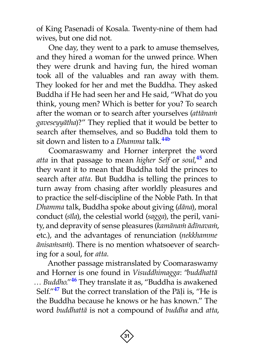of King Pasenadi of Kosala. Twenty-nine of them had wives, but one did not.

One day, they went to a park to amuse themselves, and they hired a woman for the unwed prince. When they were drunk and having fun, the hired woman took all of the valuables and ran away with them. They looked for her and met the Buddha. They asked Buddha if He had seen her and He said, "What do you think, young men? Which is better for you? To search after the woman or to search after yourselves (*attànaÿ gaveseyyàtha*)?" They replied that it would be better to search after themselves, and so Buddha told them to sit down and listen to a *Dhamma* talk. **[44b](#page-66-9)**

<span id="page-32-1"></span><span id="page-32-0"></span>Coomaraswamy and Horner interpret the word *atta* in that passage to mean *higher Self* or *soul*, **[45](#page-66-10)** and they want it to mean that Buddha told the princes to search after *atta*. But Buddha is telling the princes to turn away from chasing after worldly pleasures and to practice the self-discipline of the Noble Path. In that *Dhamma* talk, Buddha spoke about giving (*dàna*), moral conduct (*sãla*), the celestial world (*sagga*), the peril, vanity, and depravity of sense pleasures (kamānam ādīnavam, etc.), and the advantages of renunciation (*nekkhamme*   $\bar{a}$ nisama*in*). There is no mention whatsoever of searching for a soul, for *atta*.

<span id="page-32-3"></span><span id="page-32-2"></span>Another passage mistranslated by Coomaraswamy and Horner is one found in *Visuddhimagga*: "*buddhattà … Buddho*."**[46](#page-66-11)** They translate it as, "Buddha is awakened Self."<sup>[47](#page-66-12)</sup> But the correct translation of the Pāļi is, "He is the Buddha because he knows or he has known." The word *buddhattà* is not a compound of *buddha* and *atta*,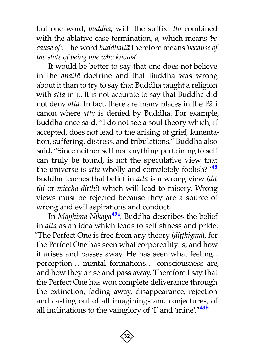but one word, *buddha*, with the suffix *-tta* combined with the ablative case termination, *à*, which means '*because of*'. The word *buddhattà* therefore means '*because of the state of being one who knows*'.

It would be better to say that one does not believe in the *anattà* doctrine and that Buddha was wrong about it than to try to say that Buddha taught a religion with *atta* in it. It is not accurate to say that Buddha did not deny *atta*. In fact, there are many places in the Pāļi canon where *atta* is denied by Buddha. For example, Buddha once said, "I do not see a soul theory which, if accepted, does not lead to the arising of grief, lamentation, suffering, distress, and tribulations." Buddha also said, "Since neither self nor anything pertaining to self can truly be found, is not the speculative view that the universe is *atta* wholly and completely foolish?" **[48](#page-66-13)** Buddha teaches that belief in *atta* is a wrong view (*ditthi* or *miccha-ditthi*) which will lead to misery. Wrong views must be rejected because they are a source of wrong and evil aspirations and conduct.

In *Majjhima Nikàya***[49a](#page-66-14)**, Buddha describes the belief in *atta* as an idea which leads to selfishness and pride: "The Perfect One is free from any theory (*ditthigata*), for the Perfect One has seen what corporeality is, and how it arises and passes away. He has seen what feeling… perception… mental formations… consciousness are, and how they arise and pass away. Therefore I say that the Perfect One has won complete deliverance through the extinction, fading away, disappearance, rejection and casting out of all imaginings and conjectures, of all inclinations to the vainglory of 'I' and 'mine'." **[49b](#page-66-15)**

<span id="page-33-1"></span><span id="page-33-0"></span>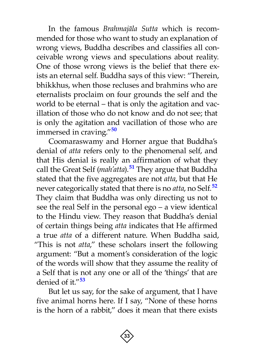In the famous *Brahmajàla Sutta* which is recommended for those who want to study an explanation of wrong views, Buddha describes and classifies all conceivable wrong views and speculations about reality. One of those wrong views is the belief that there exists an eternal self. Buddha says of this view: "Therein, bhikkhus, when those recluses and brahmins who are eternalists proclaim on four grounds the self and the world to be eternal – that is only the agitation and vacillation of those who do not know and do not see; that is only the agitation and vacillation of those who are immersed in craving."**[50](#page-66-16)**

<span id="page-34-2"></span><span id="page-34-1"></span><span id="page-34-0"></span>Coomaraswamy and Horner argue that Buddha's denial of *atta* refers only to the phenomenal self, and that His denial is really an affirmation of what they call the Great Self (*mah'atta*).**[51](#page-67-0)** They argue that Buddha stated that the five aggregates are not *atta*, but that He never categorically stated that there is no *atta*, no Self[.](#page-67-1)**[52](#page-67-1)** They claim that Buddha was only directing us not to see the real Self in the personal ego – a view identical to the Hindu view. They reason that Buddha's denial of certain things being *atta* indicates that He affirmed a true *atta* of a different nature. When Buddha said, "This is not *atta*," these scholars insert the following argument: "But a moment's consideration of the logic of the words will show that they assume the reality of a Self that is not any one or all of the 'things' that are denied of it."**[53](#page-67-2)**

<span id="page-34-3"></span>But let us say, for the sake of argument, that I have five animal horns here. If I say, "None of these horns is the horn of a rabbit," does it mean that there exists

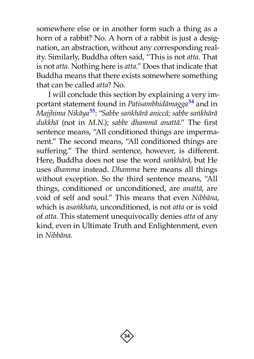somewhere else or in another form such a thing as a horn of a rabbit? No. A horn of a rabbit is just a designation, an abstraction, without any corresponding reality. Similarly, Buddha often said, "This is not *atta*. That is not *atta*. Nothing here is *atta*." Does that indicate that Buddha means that there exists somewhere something that can be called *atta*? No.

<span id="page-35-1"></span><span id="page-35-0"></span>I will conclude this section by explaining a very important statement found in *Patisambhidàmagga***[54](#page-67-3)** and in *Majjhima Nikàya***[55](#page-67-4)**: "*Sabbe saïkhàrà aniccà; sabbe saïkhàrà dukkhà* (not in *M.N.*); *sabbe dhammà anattà*." The first sentence means, "All conditioned things are impermanent." The second means, "All conditioned things are suffering." The third sentence, however, is different. Here, Buddha does not use the word *saïkhàrà*, but He uses *dhamma* instead. *Dhamma* here means all things without exception. So the third sentence means, "All things, conditioned or unconditioned, are *anattà*, are void of self and soul." This means that even *Nibbàna*, which is *asaïkhata*, unconditioned, is not *atta* or is void of *atta*. This statement unequivocally denies *atta* of any kind, even in Ultimate Truth and Enlightenment, even in *Nibbàna*.

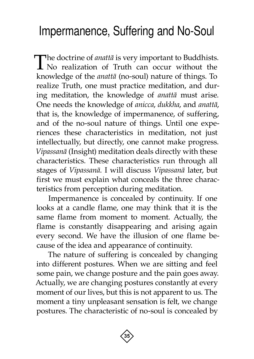# <span id="page-36-0"></span>Impermanence, Suffering and No-Soul

The doctrine of *anattā* is very important to Buddhists.<br>No realization of Truth can occur without the knowledge of the *anattà* (no-soul) nature of things. To realize Truth, one must practice meditation, and during meditation, the knowledge of *anattà* must arise. One needs the knowledge of *anicca*, *dukkha*, and *anattà*, that is, the knowledge of impermanence, of suffering, and of the no-soul nature of things. Until one experiences these characteristics in meditation, not just intellectually, but directly, one cannot make progress. *Vipassanà* (Insight) meditation deals directly with these characteristics. These characteristics run through all stages of *Vipassanà*. I will discuss *Vipassanà* later, but first we must explain what conceals the three characteristics from perception during meditation.

Impermanence is concealed by continuity. If one looks at a candle flame, one may think that it is the same flame from moment to moment. Actually, the flame is constantly disappearing and arising again every second. We have the illusion of one flame because of the idea and appearance of continuity.

The nature of suffering is concealed by changing into different postures. When we are sitting and feel some pain, we change posture and the pain goes away. Actually, we are changing postures constantly at every moment of our lives, but this is not apparent to us. The moment a tiny unpleasant sensation is felt, we change postures. The characteristic of no-soul is concealed by

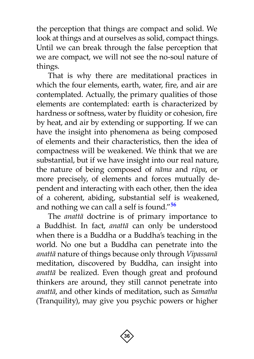the perception that things are compact and solid. We look at things and at ourselves as solid, compact things. Until we can break through the false perception that we are compact, we will not see the no-soul nature of things.

That is why there are meditational practices in which the four elements, earth, water, fire, and air are contemplated. Actually, the primary qualities of those elements are contemplated: earth is characterized by hardness or softness, water by fluidity or cohesion, fire by heat, and air by extending or supporting. If we can have the insight into phenomena as being composed of elements and their characteristics, then the idea of compactness will be weakened. We think that we are substantial, but if we have insight into our real nature, the nature of being composed of *nàma* and *råpa*, or more precisely, of elements and forces mutually dependent and interacting with each other, then the idea of a coherent, abiding, substantial self is weakened, and nothing we can call a self is found." **[56](#page-67-5)**

<span id="page-37-0"></span>The *anattà* doctrine is of primary importance to a Buddhist. In fact, *anattà* can only be understood when there is a Buddha or a Buddha's teaching in the world. No one but a Buddha can penetrate into the *anattà* nature of things because only through *Vipassanà* meditation, discovered by Buddha, can insight into *anattà* be realized. Even though great and profound thinkers are around, they still cannot penetrate into *anattà*, and other kinds of meditation, such as *Samatha* (Tranquility), may give you psychic powers or higher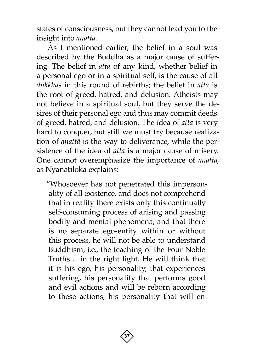states of consciousness, but they cannot lead you to the insight into *anattà*.

As I mentioned earlier, the belief in a soul was described by the Buddha as a major cause of suffering. The belief in *atta* of any kind, whether belief in a personal ego or in a spiritual self, is the cause of all *dukkhas* in this round of rebirths; the belief in *atta* is the root of greed, hatred, and delusion. Atheists may not believe in a spiritual soul, but they serve the desires of their personal ego and thus may commit deeds of greed, hatred, and delusion. The idea of *atta* is very hard to conquer, but still we must try because realization of *anattà* is the way to deliverance, while the persistence of the idea of *atta* is a major cause of misery. One cannot overemphasize the importance of *anattà*, as Nyanatiloka explains:

"Whosoever has not penetrated this impersonality of all existence, and does not comprehend that in reality there exists only this continually self-consuming process of arising and passing bodily and mental phenomena, and that there is no separate ego-entity within or without this process, he will not be able to understand Buddhism, i.e., the teaching of the Four Noble Truths… in the right light. He will think that it is his ego, his personality, that experiences suffering, his personality that performs good and evil actions and will be reborn according to these actions, his personality that will en-

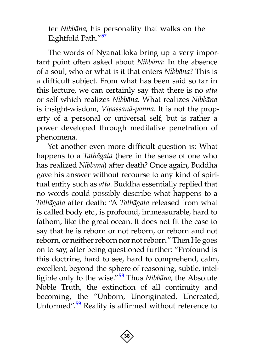<span id="page-39-0"></span>ter *Nibbàna*, his personality that walks on the Eightfold Path."**[57](#page-67-6)**

The words of Nyanatiloka bring up a very important point often asked about *Nibbàna*: In the absence of a soul, who or what is it that enters *Nibbàna*? This is a difficult subject. From what has been said so far in this lecture, we can certainly say that there is no *atta* or self which realizes *Nibbàna*. What realizes *Nibbàna* is insight-wisdom, *Vipassanà-panna*. It is not the property of a personal or universal self, but is rather a power developed through meditative penetration of phenomena.

<span id="page-39-2"></span><span id="page-39-1"></span>Yet another even more difficult question is: What happens to a *Tathàgata* (here in the sense of one who has realized *Nibbàna*) after death? Once again, Buddha gave his answer without recourse to any kind of spiritual entity such as *atta*. Buddha essentially replied that no words could possibly describe what happens to a *Tathàgata* after death: "A *Tathàgata* released from what is called body etc., is profound, immeasurable, hard to fathom, like the great ocean. It does not fit the case to say that he is reborn or not reborn, or reborn and not reborn, or neither reborn nor not reborn." Then He goes on to say, after being questioned further: "Profound is this doctrine, hard to see, hard to comprehend, calm, excellent, beyond the sphere of reasoning, subtle, intelligible only to the wise." **[58](#page-67-7)** Thus *Nibbàna*, the Absolute Noble Truth, the extinction of all continuity and becoming, the "Unborn, Unoriginated, Uncreated, Unformed". **[59](#page-67-8)** Reality is affirmed without reference to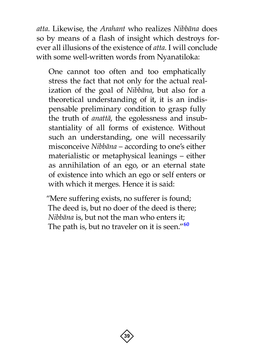*atta*. Likewise, the *Arahant* who realizes *Nibbàna* does so by means of a flash of insight which destroys forever all illusions of the existence of *atta*. I will conclude with some well-written words from Nyanatiloka:

One cannot too often and too emphatically stress the fact that not only for the actual realization of the goal of *Nibbàna*, but also for a theoretical understanding of it, it is an indispensable preliminary condition to grasp fully the truth of *anattà*, the egolessness and insubstantiality of all forms of existence. Without such an understanding, one will necessarily misconceive *Nibbàna* – according to one's either materialistic or metaphysical leanings – either as annihilation of an ego, or an eternal state of existence into which an ego or self enters or with which it merges. Hence it is said:

<span id="page-40-0"></span>"Mere suffering exists, no sufferer is found; The deed is, but no doer of the deed is there; *Nibbàna* is, but not the man who enters it; The path is, but no traveler on it is seen."**[60](#page-67-9)**

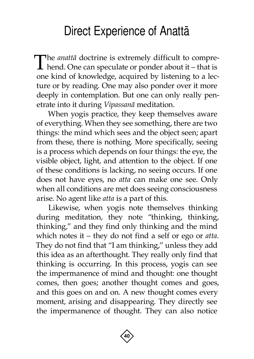# Direct Experience of Anattà

<span id="page-41-0"></span>The *anattā* doctrine is extremely difficult to comprehend. One can speculate or ponder about it – that is one kind of knowledge, acquired by listening to a lecture or by reading. One may also ponder over it more deeply in contemplation. But one can only really penetrate into it during *Vipassanà* meditation.

When yogis practice, they keep themselves aware of everything. When they see something, there are two things: the mind which sees and the object seen; apart from these, there is nothing. More specifically, seeing is a process which depends on four things: the eye, the visible object, light, and attention to the object. If one of these conditions is lacking, no seeing occurs. If one does not have eyes, no *atta* can make one see. Only when all conditions are met does seeing consciousness arise. No agent like *atta* is a part of this.

Likewise, when yogis note themselves thinking during meditation, they note "thinking, thinking, thinking," and they find only thinking and the mind which notes it – they do not find a self or ego or *atta*. They do not find that "I am thinking," unless they add this idea as an afterthought. They really only find that thinking is occurring. In this process, yogis can see the impermanence of mind and thought: one thought comes, then goes; another thought comes and goes, and this goes on and on. A new thought comes every moment, arising and disappearing. They directly see the impermanence of thought. They can also notice

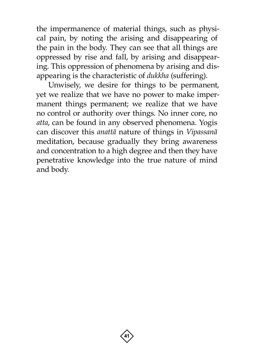the impermanence of material things, such as physical pain, by noting the arising and disappearing of the pain in the body. They can see that all things are oppressed by rise and fall, by arising and disappearing. This oppression of phenomena by arising and disappearing is the characteristic of *dukkha* (suffering).

Unwisely, we desire for things to be permanent, yet we realize that we have no power to make impermanent things permanent; we realize that we have no control or authority over things. No inner core, no *atta*, can be found in any observed phenomena. Yogis can discover this *anattà* nature of things in *Vipassanà* meditation, because gradually they bring awareness and concentration to a high degree and then they have penetrative knowledge into the true nature of mind and body.

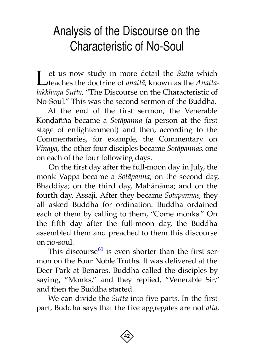# <span id="page-43-0"></span>Analysis of the Discourse on the Characteristic of No-Soul

Let us now study in more detail the *Sutta* which<br>teaches the doctrine of *anattā*, known as the *Anatta*lakkhaņa Sutta, "The Discourse on the Characteristic of No-Soul." This was the second sermon of the Buddha.

At the end of the first sermon, the Venerable Kondañña became a *Sotāpanna* (a person at the first stage of enlightenment) and then, according to the Commentaries, for example, the Commentary on *Vinaya*, the other four disciples became *Sotàpannas*, one on each of the four following days.

On the first day after the full-moon day in July, the monk Vappa became a *Sotàpanna*; on the second day, Bhaddiya; on the third day, Mahànàma; and on the fourth day, Assaji. After they became *Sotàpannas*, they all asked Buddha for ordination. Buddha ordained each of them by calling to them, "Come monks." On the fifth day after the full-moon day, the Buddha assembled them and preached to them this discourse on no-soul.

<span id="page-43-1"></span>This discours[e](#page-67-10)**[61](#page-67-10)** is even shorter than the first sermon on the Four Noble Truths. It was delivered at the Deer Park at Benares. Buddha called the disciples by saying, "Monks," and they replied, "Venerable Sir," and then the Buddha started.

We can divide the *Sutta* into five parts. In the first part, Buddha says that the five aggregates are not *atta*,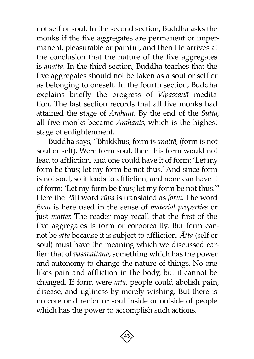not self or soul. In the second section, Buddha asks the monks if the five aggregates are permanent or impermanent, pleasurable or painful, and then He arrives at the conclusion that the nature of the five aggregates is *anattà*. In the third section, Buddha teaches that the five aggregates should not be taken as a soul or self or as belonging to oneself. In the fourth section, Buddha explains briefly the progress of *Vipassanà* meditation. The last section records that all five monks had attained the stage of *Arahant*. By the end of the *Sutta*, all five monks became *Arahants*, which is the highest stage of enlightenment.

Buddha says, "Bhikkhus, form is *anattà*, (form is not soul or self). Were form soul, then this form would not lead to affliction, and one could have it of form: 'Let my form be thus; let my form be not thus.' And since form is not soul, so it leads to affliction, and none can have it of form: 'Let my form be thus; let my form be not thus.'" Here the Pāļi word *rūpa* is translated as *form*. The word *form* is here used in the sense of *material properties* or just *matter*. The reader may recall that the first of the five aggregates is form or corporeality. But form cannot be *atta* because it is subject to affliction. *âtta* (self or soul) must have the meaning which we discussed earlier: that of *vasavattana*, something which has the power and autonomy to change the nature of things. No one likes pain and affliction in the body, but it cannot be changed. If form were *atta*, people could abolish pain, disease, and ugliness by merely wishing. But there is no core or director or soul inside or outside of people which has the power to accomplish such actions.

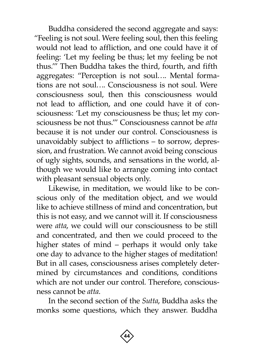Buddha considered the second aggregate and says: "Feeling is not soul. Were feeling soul, then this feeling would not lead to affliction, and one could have it of feeling: 'Let my feeling be thus; let my feeling be not thus.'" Then Buddha takes the third, fourth, and fifth aggregates: "Perception is not soul…. Mental formations are not soul…. Consciousness is not soul. Were consciousness soul, then this consciousness would not lead to affliction, and one could have it of consciousness: 'Let my consciousness be thus; let my consciousness be not thus.'" Consciousness cannot be *atta* because it is not under our control. Consciousness is unavoidably subject to afflictions – to sorrow, depression, and frustration. We cannot avoid being conscious of ugly sights, sounds, and sensations in the world, although we would like to arrange coming into contact with pleasant sensual objects only.

Likewise, in meditation, we would like to be conscious only of the meditation object, and we would like to achieve stillness of mind and concentration, but this is not easy, and we cannot will it. If consciousness were *atta*, we could will our consciousness to be still and concentrated, and then we could proceed to the higher states of mind – perhaps it would only take one day to advance to the higher stages of meditation! But in all cases, consciousness arises completely determined by circumstances and conditions, conditions which are not under our control. Therefore, consciousness cannot be *atta*.

In the second section of the *Sutta*, Buddha asks the monks some questions, which they answer. Buddha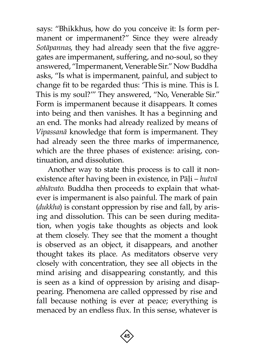says: "Bhikkhus, how do you conceive it: Is form permanent or impermanent?" Since they were already *Sotàpannas*, they had already seen that the five aggregates are impermanent, suffering, and no-soul, so they answered, "Impermanent, Venerable Sir." Now Buddha asks, "Is what is impermanent, painful, and subject to change fit to be regarded thus: 'This is mine. This is I. This is my soul?'" They answered, "No, Venerable Sir." Form is impermanent because it disappears. It comes into being and then vanishes. It has a beginning and an end. The monks had already realized by means of *Vipassanà* knowledge that form is impermanent. They had already seen the three marks of impermanence, which are the three phases of existence: arising, continuation, and dissolution.

Another way to state this process is to call it nonexistence after having been in existence, in Pāļi – *hutvā abhàvato*. Buddha then proceeds to explain that whatever is impermanent is also painful. The mark of pain (*dukkha*) is constant oppression by rise and fall, by arising and dissolution. This can be seen during meditation, when yogis take thoughts as objects and look at them closely. They see that the moment a thought is observed as an object, it disappears, and another thought takes its place. As meditators observe very closely with concentration, they see all objects in the mind arising and disappearing constantly, and this is seen as a kind of oppression by arising and disappearing. Phenomena are called oppressed by rise and fall because nothing is ever at peace; everything is menaced by an endless flux. In this sense, whatever is

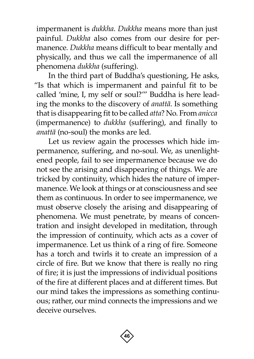impermanent is *dukkha*. *Dukkha* means more than just painful. *Dukkha* also comes from our desire for permanence. *Dukkha* means difficult to bear mentally and physically, and thus we call the impermanence of all phenomena *dukkha* (suffering).

In the third part of Buddha's questioning, He asks, "Is that which is impermanent and painful fit to be called 'mine, I, my self or soul?'" Buddha is here leading the monks to the discovery of *anattà*. Is something that is disappearing fit to be called *atta*? No. From *anicca* (impermanence) to *dukkha* (suffering), and finally to *anattà* (no-soul) the monks are led.

Let us review again the processes which hide impermanence, suffering, and no-soul. We, as unenlightened people, fail to see impermanence because we do not see the arising and disappearing of things. We are tricked by continuity, which hides the nature of impermanence. We look at things or at consciousness and see them as continuous. In order to see impermanence, we must observe closely the arising and disappearing of phenomena. We must penetrate, by means of concentration and insight developed in meditation, through the impression of continuity, which acts as a cover of impermanence. Let us think of a ring of fire. Someone has a torch and twirls it to create an impression of a circle of fire. But we know that there is really no ring of fire; it is just the impressions of individual positions of the fire at different places and at different times. But our mind takes the impressions as something continuous; rather, our mind connects the impressions and we deceive ourselves.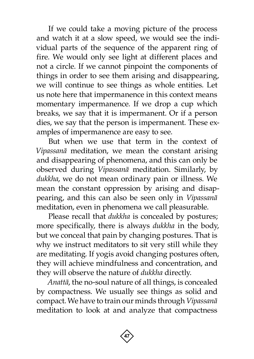If we could take a moving picture of the process and watch it at a slow speed, we would see the individual parts of the sequence of the apparent ring of fire. We would only see light at different places and not a circle. If we cannot pinpoint the components of things in order to see them arising and disappearing, we will continue to see things as whole entities. Let us note here that impermanence in this context means momentary impermanence. If we drop a cup which breaks, we say that it is impermanent. Or if a person dies, we say that the person is impermanent. These examples of impermanence are easy to see.

But when we use that term in the context of *Vipassanà* meditation, we mean the constant arising and disappearing of phenomena, and this can only be observed during *Vipassanà* meditation. Similarly, by *dukkha*, we do not mean ordinary pain or illness. We mean the constant oppression by arising and disappearing, and this can also be seen only in *Vipassanà* meditation, even in phenomena we call pleasurable.

Please recall that *dukkha* is concealed by postures; more specifically, there is always *dukkha* in the body, but we conceal that pain by changing postures. That is why we instruct meditators to sit very still while they are meditating. If yogis avoid changing postures often, they will achieve mindfulness and concentration, and they will observe the nature of *dukkha* directly.

*Anattà*, the no-soul nature of all things, is concealed by compactness. We usually see things as solid and compact. We have to train our minds through *Vipassanà* meditation to look at and analyze that compactness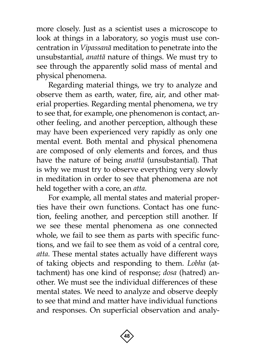more closely. Just as a scientist uses a microscope to look at things in a laboratory, so yogis must use concentration in *Vipassanà* meditation to penetrate into the unsubstantial, *anattà* nature of things. We must try to see through the apparently solid mass of mental and physical phenomena.

Regarding material things, we try to analyze and observe them as earth, water, fire, air, and other material properties. Regarding mental phenomena, we try to see that, for example, one phenomenon is contact, another feeling, and another perception, although these may have been experienced very rapidly as only one mental event. Both mental and physical phenomena are composed of only elements and forces, and thus have the nature of being *anattà* (unsubstantial). That is why we must try to observe everything very slowly in meditation in order to see that phenomena are not held together with a core, an *atta*.

For example, all mental states and material properties have their own functions. Contact has one function, feeling another, and perception still another. If we see these mental phenomena as one connected whole, we fail to see them as parts with specific functions, and we fail to see them as void of a central core, *atta*. These mental states actually have different ways of taking objects and responding to them. *Lobha* (attachment) has one kind of response; *dosa* (hatred) another. We must see the individual differences of these mental states. We need to analyze and observe deeply to see that mind and matter have individual functions and responses. On superficial observation and analy-

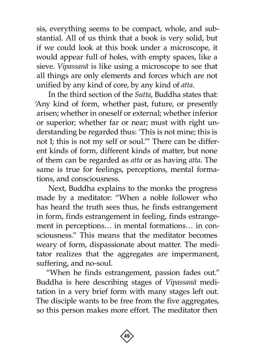sis, everything seems to be compact, whole, and substantial. All of us think that a book is very solid, but if we could look at this book under a microscope, it would appear full of holes, with empty spaces, like a sieve. *Vipassanà* is like using a microscope to see that all things are only elements and forces which are not unified by any kind of core, by any kind of *atta*.

In the third section of the *Sutta*, Buddha states that: 'Any kind of form, whether past, future, or presently arisen; whether in oneself or external; whether inferior or superior; whether far or near; must with right understanding be regarded thus: 'This is not mine; this is not I; this is not my self or soul.'" There can be different kinds of form, different kinds of matter, but none of them can be regarded as *atta* or as having *atta*. The same is true for feelings, perceptions, mental formations, and consciousness.

Next, Buddha explains to the monks the progress made by a meditator: "When a noble follower who has heard the truth sees thus, he finds estrangement in form, finds estrangement in feeling, finds estrangement in perceptions… in mental formations… in consciousness." This means that the meditator becomes weary of form, dispassionate about matter. The meditator realizes that the aggregates are impermanent, suffering, and no-soul.

"When he finds estrangement, passion fades out." Buddha is here describing stages of *Vipassanà* meditation in a very brief form with many stages left out. The disciple wants to be free from the five aggregates, so this person makes more effort. The meditator then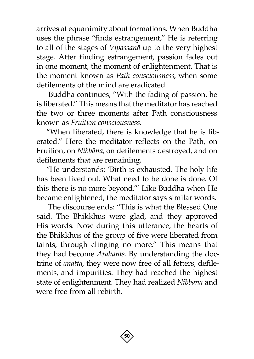arrives at equanimity about formations. When Buddha uses the phrase "finds estrangement," He is referring to all of the stages of *Vipassanà* up to the very highest stage. After finding estrangement, passion fades out in one moment, the moment of enlightenment. That is the moment known as *Path consciousness*, when some defilements of the mind are eradicated.

Buddha continues, "With the fading of passion, he is liberated." This means that the meditator has reached the two or three moments after Path consciousness known as *Fruition consciousness*.

"When liberated, there is knowledge that he is liberated." Here the meditator reflects on the Path, on Fruition, on *Nibbàna*, on defilements destroyed, and on defilements that are remaining.

"He understands: 'Birth is exhausted. The holy life has been lived out. What need to be done is done. Of this there is no more beyond.'" Like Buddha when He became enlightened, the meditator says similar words.

The discourse ends: "This is what the Blessed One said. The Bhikkhus were glad, and they approved His words. Now during this utterance, the hearts of the Bhikkhus of the group of five were liberated from taints, through clinging no more." This means that they had become *Arahants*. By understanding the doctrine of *anattà*, they were now free of all fetters, defilements, and impurities. They had reached the highest state of enlightenment. They had realized *Nibbàna* and were free from all rebirth.

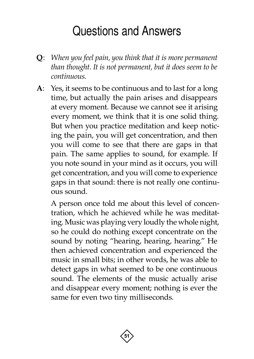# Questions and Answers

- <span id="page-52-0"></span>**Q**: *When you feel pain, you think that it is more permanent than thought. It is not permanent, but it does seem to be continuous*.
- **A**: Yes, it seems to be continuous and to last for a long time, but actually the pain arises and disappears at every moment. Because we cannot see it arising every moment, we think that it is one solid thing. But when you practice meditation and keep noticing the pain, you will get concentration, and then you will come to see that there are gaps in that pain. The same applies to sound, for example. If you note sound in your mind as it occurs, you will get concentration, and you will come to experience gaps in that sound: there is not really one continuous sound.

A person once told me about this level of concentration, which he achieved while he was meditating. Music was playing very loudly the whole night, so he could do nothing except concentrate on the sound by noting "hearing, hearing, hearing." He then achieved concentration and experienced the music in small bits; in other words, he was able to detect gaps in what seemed to be one continuous sound. The elements of the music actually arise and disappear every moment; nothing is ever the same for even two tiny milliseconds.

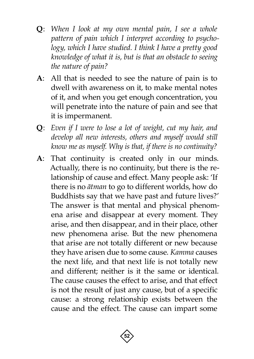- **Q**: *When I look at my own mental pain, I see a whole pattern of pain which I interpret according to psychology, which I have studied. I think I have a pretty good knowledge of what it is, but is that an obstacle to seeing the nature of pain?*
- **A**: All that is needed to see the nature of pain is to dwell with awareness on it, to make mental notes of it, and when you get enough concentration, you will penetrate into the nature of pain and see that it is impermanent.
- **Q**: *Even if I were to lose a lot of weight, cut my hair, and develop all new interests, others and myself would still know me as myself. Why is that, if there is no continuity?*
- **A**: That continuity is created only in our minds. Actually, there is no continuity, but there is the relationship of cause and effect. Many people ask: 'If there is no *àtman* to go to different worlds, how do Buddhists say that we have past and future lives?' The answer is that mental and physical phenomena arise and disappear at every moment. They arise, and then disappear, and in their place, other new phenomena arise. But the new phenomena that arise are not totally different or new because they have arisen due to some cause. *Kamma* causes the next life, and that next life is not totally new and different; neither is it the same or identical. The cause causes the effect to arise, and that effect is not the result of just any cause, but of a specific cause: a strong relationship exists between the cause and the effect. The cause can impart some

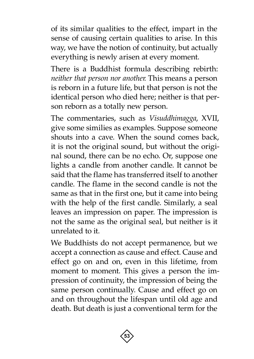of its similar qualities to the effect, impart in the sense of causing certain qualities to arise. In this way, we have the notion of continuity, but actually everything is newly arisen at every moment.

There is a Buddhist formula describing rebirth: *neither that person nor another*. This means a person is reborn in a future life, but that person is not the identical person who died here; neither is that person reborn as a totally new person.

The commentaries, such as *Visuddhimagga*, XVII, give some similies as examples. Suppose someone shouts into a cave. When the sound comes back, it is not the original sound, but without the original sound, there can be no echo. Or, suppose one lights a candle from another candle. It cannot be said that the flame has transferred itself to another candle. The flame in the second candle is not the same as that in the first one, but it came into being with the help of the first candle. Similarly, a seal leaves an impression on paper. The impression is not the same as the original seal, but neither is it unrelated to it.

We Buddhists do not accept permanence, but we accept a connection as cause and effect. Cause and effect go on and on, even in this lifetime, from moment to moment. This gives a person the impression of continuity, the impression of being the same person continually. Cause and effect go on and on throughout the lifespan until old age and death. But death is just a conventional term for the

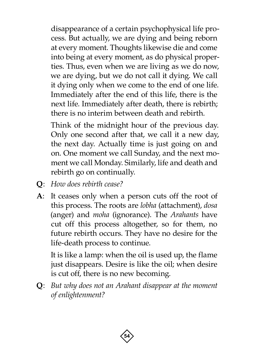disappearance of a certain psychophysical life process. But actually, we are dying and being reborn at every moment. Thoughts likewise die and come into being at every moment, as do physical properties. Thus, even when we are living as we do now, we are dying, but we do not call it dying. We call it dying only when we come to the end of one life. Immediately after the end of this life, there is the next life. Immediately after death, there is rebirth; there is no interim between death and rebirth.

Think of the midnight hour of the previous day. Only one second after that, we call it a new day, the next day. Actually time is just going on and on. One moment we call Sunday, and the next moment we call Monday. Similarly, life and death and rebirth go on continually.

- **Q**: *How does rebirth cease?*
- **A**: It ceases only when a person cuts off the root of this process. The roots are *lobha* (attachment), *dosa* (anger) and *moha* (ignorance). The *Arahants* have cut off this process altogether, so for them, no future rebirth occurs. They have no desire for the life-death process to continue.

It is like a lamp: when the oil is used up, the flame just disappears. Desire is like the oil; when desire is cut off, there is no new becoming.

**Q**: *But why does not an Arahant disappear at the moment of enlightenment?*

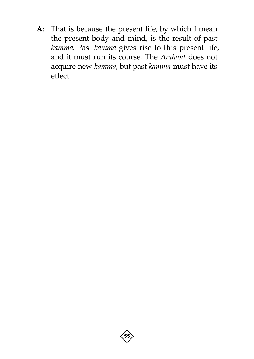**A**: That is because the present life, by which I mean the present body and mind, is the result of past *kamma*. Past *kamma* gives rise to this present life, and it must run its course. The *Arahant* does not acquire new *kamma*, but past *kamma* must have its effect.

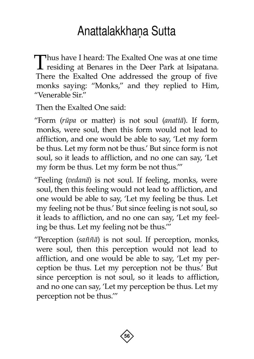# Anattalakkhaṇa Sutta

<span id="page-57-0"></span>Thus have I heard: The Exalted One was at one time<br>residing at Benares in the Deer Park at Isipatana. There the Exalted One addressed the group of five monks saying: "Monks," and they replied to Him, "Venerable Sir."

Then the Exalted One said:

"Form (*råpa* or matter) is not soul (*anattà*). If form, monks, were soul, then this form would not lead to affliction, and one would be able to say, 'Let my form be thus. Let my form not be thus.' But since form is not soul, so it leads to affliction, and no one can say, 'Let my form be thus. Let my form be not thus.'"

"Feeling (*vedanà*) is not soul. If feeling, monks, were soul, then this feeling would not lead to affliction, and one would be able to say, 'Let my feeling be thus. Let my feeling not be thus.' But since feeling is not soul, so it leads to affliction, and no one can say, 'Let my feeling be thus. Let my feeling not be thus.'"

"Perception (*sa¤¤à*) is not soul. If perception, monks, were soul, then this perception would not lead to affliction, and one would be able to say, 'Let my perception be thus. Let my perception not be thus.' But since perception is not soul, so it leads to affliction, and no one can say, 'Let my perception be thus. Let my perception not be thus.'"

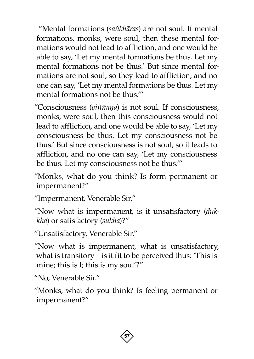"Mental formations (*saïkhàras*) are not soul. If mental formations, monks, were soul, then these mental formations would not lead to affliction, and one would be able to say, 'Let my mental formations be thus. Let my mental formations not be thus.' But since mental formations are not soul, so they lead to affliction, and no one can say, 'Let my mental formations be thus. Let my mental formations not be thus.'"

"Consciousness (*vi¤¤àõa*) is not soul. If consciousness, monks, were soul, then this consciousness would not lead to affliction, and one would be able to say, 'Let my consciousness be thus. Let my consciousness not be thus.' But since consciousness is not soul, so it leads to affliction, and no one can say, 'Let my consciousness be thus. Let my consciousness not be thus.'"

"Monks, what do you think? Is form permanent or impermanent?"

"Impermanent, Venerable Sir."

"Now what is impermanent, is it unsatisfactory (*dukkha*) or satisfactory (*sukha*)?"

"Unsatisfactory, Venerable Sir."

"Now what is impermanent, what is unsatisfactory, what is transitory  $-$  is it fit to be perceived thus: 'This is mine; this is I; this is my soul'?"

"No, Venerable Sir."

"Monks, what do you think? Is feeling permanent or impermanent?"

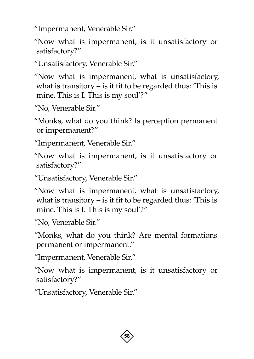"Impermanent, Venerable Sir."

"Now what is impermanent, is it unsatisfactory or satisfactory?"

"Unsatisfactory, Venerable Sir."

"Now what is impermanent, what is unsatisfactory, what is transitory  $-$  is it fit to be regarded thus: This is mine. This is I. This is my soul'?"

"No, Venerable Sir."

"Monks, what do you think? Is perception permanent or impermanent?"

"Impermanent, Venerable Sir."

"Now what is impermanent, is it unsatisfactory or satisfactory?"

"Unsatisfactory, Venerable Sir."

"Now what is impermanent, what is unsatisfactory, what is transitory  $-$  is it fit to be regarded thus: This is mine. This is I. This is my soul'?"

"No, Venerable Sir."

"Monks, what do you think? Are mental formations permanent or impermanent."

"Impermanent, Venerable Sir."

"Now what is impermanent, is it unsatisfactory or satisfactory?"

"Unsatisfactory, Venerable Sir."

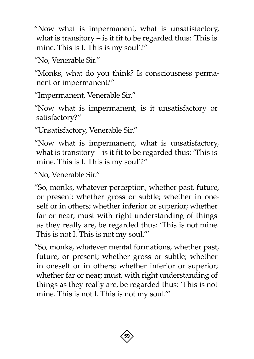"Now what is impermanent, what is unsatisfactory, what is transitory  $-$  is it fit to be regarded thus: 'This is mine. This is I. This is my soul'?"

"No, Venerable Sir."

"Monks, what do you think? Is consciousness permanent or impermanent?"

"Impermanent, Venerable Sir."

"Now what is impermanent, is it unsatisfactory or satisfactory?"

"Unsatisfactory, Venerable Sir."

"Now what is impermanent, what is unsatisfactory, what is transitory  $-$  is it fit to be regarded thus: 'This is mine. This is I. This is my soul'?"

"No, Venerable Sir."

"So, monks, whatever perception, whether past, future, or present; whether gross or subtle; whether in oneself or in others; whether inferior or superior; whether far or near; must with right understanding of things as they really are, be regarded thus: 'This is not mine. This is not I. This is not my soul.'"

"So, monks, whatever mental formations, whether past, future, or present; whether gross or subtle; whether in oneself or in others; whether inferior or superior; whether far or near; must, with right understanding of things as they really are, be regarded thus: 'This is not mine. This is not I. This is not my soul.'"

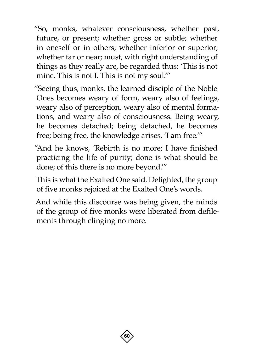"So, monks, whatever consciousness, whether past, future, or present; whether gross or subtle; whether in oneself or in others; whether inferior or superior; whether far or near; must, with right understanding of things as they really are, be regarded thus: 'This is not mine. This is not I. This is not my soul.'"

"Seeing thus, monks, the learned disciple of the Noble Ones becomes weary of form, weary also of feelings, weary also of perception, weary also of mental formations, and weary also of consciousness. Being weary, he becomes detached; being detached, he becomes free; being free, the knowledge arises, 'I am free.'"

"And he knows, 'Rebirth is no more; I have finished practicing the life of purity; done is what should be done; of this there is no more beyond.'"

This is what the Exalted One said. Delighted, the group of five monks rejoiced at the Exalted One's words.

And while this discourse was being given, the minds of the group of five monks were liberated from defilements through clinging no more.

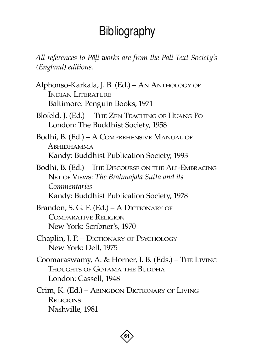# **Bibliography**

<span id="page-62-0"></span>*All references to Pàëi works are from the Pali Text Society's (England) editions*.

- Alphonso-Karkala, J. B. (Ed.) An Anthology of Indian Literature Baltimore: Penguin Books, 1971
- Blofeld, J. (Ed.) The Zen Teaching of Huang Po London: The Buddhist Society, 1958
- Bodhi, B. (Ed.) A Comprehensive Manual of Abhidhamma Kandy: Buddhist Publication Society, 1993
- Bodhi, B. (Ed.) The Discourse on the All-Embracing Net of Views: *The Brahmajala Sutta and its Commentaries* Kandy: Buddhist Publication Society, 1978
- Brandon, S. G. F. (Ed.) A DICTIONARY OF Comparative Religion New York: Scribner's, 1970
- Chaplin, J. P. DICTIONARY OF PSYCHOLOGY New York: Dell, 1975
- Coomaraswamy, A. & Horner, I. B. (Eds.) The Living Thoughts of Gotama the Buddha London: Cassell, 1948
- Crim, K. (Ed.) Abingdon Dictionary of Living **RELIGIONS** Nashville, 1981

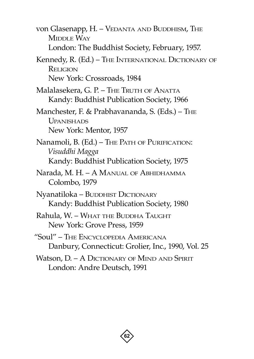von Glasenapp, H. - VEDANTA AND BUDDHISM, THE MIDDLE WAY London: The Buddhist Society, February, 1957.

Kennedy, R. (Ed.) – The International Dictionary of Rel<sub>IGION</sub>

New York: Crossroads, 1984

- Malalasekera, G. P. The Truth of Anatta Kandy: Buddhist Publication Society, 1966
- Manchester, F. & Prabhavananda, S. (Eds.) The Upanishads New York: Mentor, 1957
- Nanamoli, B. (Ed.) The Path of Purification: *Visuddhi Magga* Kandy: Buddhist Publication Society, 1975
- Narada, M. H. A Manual of Abhidhamma Colombo, 1979
- Nyanatiloka BUDDHIST DICTIONARY Kandy: Buddhist Publication Society, 1980
- Rahula, W. What the Buddha Taught New York: Grove Press, 1959
- "Soul" The Encyclopedia Americana Danbury, Connecticut: Grolier, Inc., 1990, Vol. 25
- Watson, D. A DICTIONARY OF MIND AND SPIRIT London: Andre Deutsch, 1991

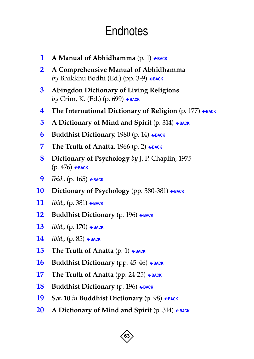# **Endnotes**

- <span id="page-64-1"></span><span id="page-64-0"></span>**1 A** Manual of Abhidhamma  $(p, 1)$   $\leftarrow$  [BACK](#page-10-0)
- <span id="page-64-2"></span>**2 A Comprehensive Manual of Abhidhamma** *by* Bhikkhu Bodhi (Ed.) (pp. 3-9) ← [BACK](#page-11-0)
- <span id="page-64-3"></span>**3 Abingdon Dictionary of Living Religions** *by* Crim, K. (Ed.) (p. 699) ← [BACK](#page-11-1)
- <span id="page-64-4"></span>**4 The International Dictionary of Religion** (p. 177) ← [BACK](#page-11-2)
- <span id="page-64-5"></span>**5 A Dictionary of Mind and Spirit** (p. 314) **E[BACK](#page-12-0)**
- <span id="page-64-6"></span>**6 Buddhist Dictionary**, 1980 (p. 14)  $\leftarrow$  **[BACK](#page-12-1)**
- <span id="page-64-7"></span>**7 The Truth of Anatta**,  $1966$  (p. 2)  $\leftarrow$  **[BACK](#page-12-2)**
- <span id="page-64-8"></span>**8 Dictionary of Psychology** *by* J. P. Chaplin, 1975 (p. 476) ç**[BACK](#page-12-3)**
- <span id="page-64-9"></span>**9** *Ibid.*, (p. 165) ← [BACK](#page-13-0)
- <span id="page-64-10"></span>**10 Dictionary of Psychology** (pp. 380-381) ← [BACK](#page-13-1)
- <span id="page-64-11"></span>**11** *Ibid.*, (p. 381)  $\epsilon$ [BACK](#page-13-2)
- <span id="page-64-12"></span>**12 Buddhist Dictionary** (p. 196) ← **[BACK](#page-13-3)**
- <span id="page-64-13"></span>**13** *Ibid.*, (p. 170)  $\epsilon$ [BACK](#page-13-4)
- <span id="page-64-14"></span>**14** *Ibid.*, (p. 85)  $\epsilon$ [BACK](#page-13-5)
- <span id="page-64-15"></span>**15 The Truth of Anatta**  $(p, 1) \leftarrow$ [BACK](#page-13-6)
- <span id="page-64-16"></span>**16 Buddhist Dictionary** (pp. 45-46) ← **[BACK](#page-13-7)**
- <span id="page-64-17"></span>**17** The Truth of Anatta (pp. 24-25) ← [BACK](#page-14-0)
- <span id="page-64-18"></span>**18 Buddhist Dictionary** (p. 196) **FRACK**
- <span id="page-64-19"></span>**19 S.v. 10** *in* **Buddhist Dictionary** (p. 98) ← **[BACK](#page-15-0)**
- <span id="page-64-20"></span>**20 A Dictionary of Mind and Spirit** (p. 314) **FRACK**

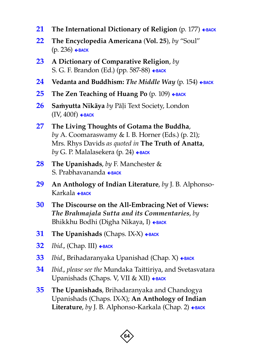- <span id="page-65-0"></span>**21 The International Dictionary of Religion** (p. 177) ← [BACK](#page-16-2)
- <span id="page-65-1"></span>**22 The Encyclopedia Americana** (**Vol. 25**), *by* "Soul" (p. 236) ç**[BACK](#page-16-3)**
- <span id="page-65-2"></span>**23 A Dictionary of Comparative Religion**, *by* S. G. F. Brandon (Ed.) (pp. 587-88) ← [BACK](#page-17-0)
- <span id="page-65-3"></span>**24 Vedanta and Buddhism:** *The Middle Way* (p. 154) ← [BACK](#page-17-1)
- <span id="page-65-4"></span>**25** The Zen Teaching of Huang Po (p. 109) ← [BACK](#page-19-0)
- <span id="page-65-5"></span>**26 Samyutta Nikāya** *by Pāli Text Society*, London  $(IV, 400f)$   $\leftarrow$  [BACK](#page-19-1)
- <span id="page-65-6"></span>**27 The Living Thoughts of Gotama the Buddha**, *by* A. Coomaraswamy & I. B. Horner (Eds.) (p. 21); Mrs. Rhys Davids *as quoted in* **The Truth of Anatta**, *by* G. P. Malalasekera (p. 24) ← [BACK](#page-21-0)
- <span id="page-65-7"></span>**28 The Upanishads**, *by* F. Manchester & S. Prabhavananda [ç](#page-21-1)**[BACK](#page-21-1)**
- <span id="page-65-8"></span>**29 An Anthology of Indian Literature**, *by* J. B. Alphonso-Karkala ç**[BACK](#page-21-2)**
- <span id="page-65-9"></span>**30 The Discourse on the All-Embracing Net of Views:**  *The Brahmajala Sutta and its Commentaries*, *by*  Bhikkhu Bodhi (Digha Nikaya, I) ← [BACK](#page-21-3)
- <span id="page-65-10"></span>**31** The Upanishads (Chaps. IX-X)  $\leftarrow$  [BACK](#page-22-0)
- <span id="page-65-11"></span>**32** *Ibid.*, (Chap. III) ← [BACK](#page-22-1)
- <span id="page-65-12"></span>**33** *Ibid.*, Brihadaranyaka Upanishad (Chap. X) ← [BACK](#page-22-2)
- <span id="page-65-13"></span>**34** *Ibid*., *please see the* Mundaka Taittiriya, and Svetasvatara Upanishads (Chaps. V, VII & XII) ← [BACK](#page-22-3)
- <span id="page-65-14"></span>**35 The Upanishads**, Brihadaranyaka and Chandogya Upanishads (Chaps. IX-X); **An Anthology of Indian**  Literature, *by* J. B. Alphonso-Karkala (Chap. 2) ← [BACK](#page-23-0)

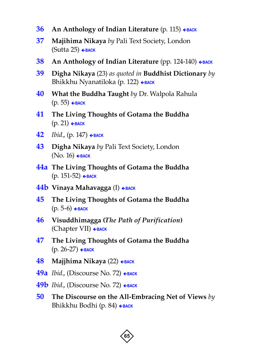- <span id="page-66-0"></span>**36** An Anthology of Indian Literature (p. 115) ← [BACK](#page-23-1)
- <span id="page-66-1"></span>**37 Majihima Nikaya** *by* Pali Text Society, London (Sutta 25) ç**[BACK](#page-24-0)**
- <span id="page-66-2"></span>**38 An Anthology of Indian Literature** (pp. 124-140) ← [BACK](#page-25-0)
- <span id="page-66-3"></span>**39 Digha Nikaya** (23) *as quoted in* **Buddhist Dictionary** *by*  Bhikkhu Nyanatiloka (p. 122) ← [BACK](#page-26-0)
- <span id="page-66-4"></span>**40 What the Buddha Taught** *by* Dr. Walpola Rahula (p. 55) ç**[BACK](#page-30-1)**
- <span id="page-66-5"></span>**41 The Living Thoughts of Gotama the Buddha**  $(p. 21)$   $\leftarrow$  **[BACK](#page-30-2)**
- <span id="page-66-6"></span>**42** *Ibid.*, (р. 147) ← ВАСК
- <span id="page-66-7"></span>**43 Digha Nikaya** *by* Pali Text Society, London (No. 16) ç**[BACK](#page-31-0)**
- <span id="page-66-8"></span>**44a The Living Thoughts of Gotama the Buddha** (p. 151-52) ç**[BACK](#page-31-1)**
- <span id="page-66-9"></span>**44b Vinaya Mahavagga** (Ⅰ)  $\epsilon$ [BACK](#page-32-0)
- <span id="page-66-10"></span>**45 The Living Thoughts of Gotama the Buddha** (p. 5-6) ç**[BACK](#page-32-1)**
- <span id="page-66-11"></span>**46 Visuddhimagga (***The Path of Purification***)** (Chapter VII) ç**[BACK](#page-32-2)**
- <span id="page-66-12"></span>**47 The Living Thoughts of Gotama the Buddha** (p. 26-27) ç**[BACK](#page-32-3)**
- <span id="page-66-13"></span>**48 Majjhima Nikaya** (22) ← [BACK](#page-33-0)
- <span id="page-66-14"></span>**49a** *Ibid.*, (Discourse No. 72) ← [BACK](#page-33-1)
- <span id="page-66-15"></span>**49b** *Ibid.*, (Discourse No. 72) ← [BACK](#page-33-1)
- <span id="page-66-16"></span>**50 The Discourse on the All-Embracing Net of Views** *by*  Bhikkhu Bodhi (p. 84) ← [BACK](#page-34-0)

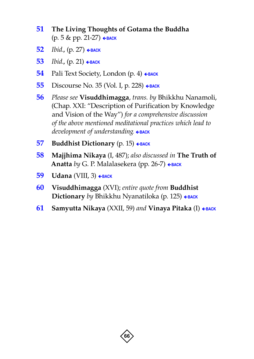- <span id="page-67-0"></span> **The Living Thoughts of Gotama the Buddha** (р. 5 & pp. 21-27) ← васк
- <span id="page-67-1"></span>*Ibid.*, (р. 27) ← васк
- <span id="page-67-2"></span>*Ibid.*, (р. 21) ← ВАСК
- <span id="page-67-3"></span>Pali Text Society, London (p. 4) ← [BACK](#page-35-0)
- <span id="page-67-4"></span>Discourse No. 35 (Vol. I, р. 228) ← ВАСК
- <span id="page-67-5"></span> *Please see* **Visuddhimagga**, *trans. by* Bhikkhu Nanamoli, (Chap. XXI: "Description of Purification by Knowledge and Vision of the Way") *for a comprehensive discussion of the above mentioned meditational practices which lead to*  development of understanding.  $\epsilon$ [BACK](#page-37-0)
- <span id="page-67-6"></span>**Buddhist Dictionary** (p. 15) ← [BACK](#page-39-0)
- <span id="page-67-7"></span> **Majjhima Nikaya** (I, 487); *also discussed in* **The Truth of**  Anatta *by* G. P. Malalasekera (pp. 26-7) ← [BACK](#page-39-1)
- <span id="page-67-8"></span>**Udana** (VIII, 3) ← **[BACK](#page-39-2)**
- <span id="page-67-9"></span> **Visuddhimagga** (XVI); *entire quote from* **Buddhist Dictionary** *by* Bhikkhu Nyanatiloka (p. 125) ← [BACK](#page-40-0)
- <span id="page-67-10"></span>**Samyutta Nikaya** (XXII, 59) and **Vinaya Pitaka** (I) ← **[BACK](#page-43-1)**

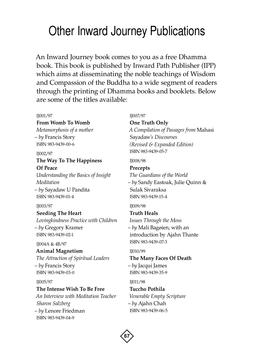# <span id="page-68-0"></span>Other Inward Journey Publications

An Inward Journey book comes to you as a free Dhamma book. This book is published by Inward Path Publisher (IPP) which aims at disseminating the noble teachings of Wisdom and Compassion of the Buddha to a wide segment of readers through the printing of Dhamma books and booklets. Below are some of the titles available:

#### IJ001/97

**From Womb To Womb** *Metamorphosis of a mother* – *by* Francis Story ISBN 983-9439-00-6

#### IJ002/97

### **The Way To The Happiness Of Peace**

*Understanding the Basics of Insight Meditation* – *by* Sayadaw U Pandita ISBN 983-9439-01-4

### IJ003/97

**Seeding The Heart** *Lovingkindness Practice with Children* – *by* Gregory Kramer ISBN 983-9439-02-1

#### IJ004A & 4B/97

### **Animal Magnetism**

*The Attraction of Spiritual Leaders* – *by* Francis Story ISBN 983-9439-03-0

### IJ005/97

### **The Intense Wish To Be Free**

*An Interview with Meditation Teacher Sharon Salzberg* – *by* Lenore Friedman ISBN 983-9439-04-9

### IJ007/97

**One Truth Only** *A Compilation of Passages from* Mahasi Sayadaw*'s Discourses (Revised & Expanded Edition)* ISBN 983-9439-05-7

IJ008/98

**Precepts** *The Guardians of the World* – *by* Sandy Eastoak, Julie Quinn & Sulak Sivaraksa ISBN 983-9439-15-4

### IJ009/98

**Truth Heals** *Issues Through the Moss* – *by* Mali Bagøien, with an introduction by Ajahn Thante ISBN 983-9439-07-3

### IJ010/99

**The Many Faces Of Death** – *by* Jacqui James ISBN 983-9439-35-9

IJ011/98

**Tuccho Pothila** *Venerable Empty Scripture* – *by* Ajahn Chah ISBN 983-9439-06-5